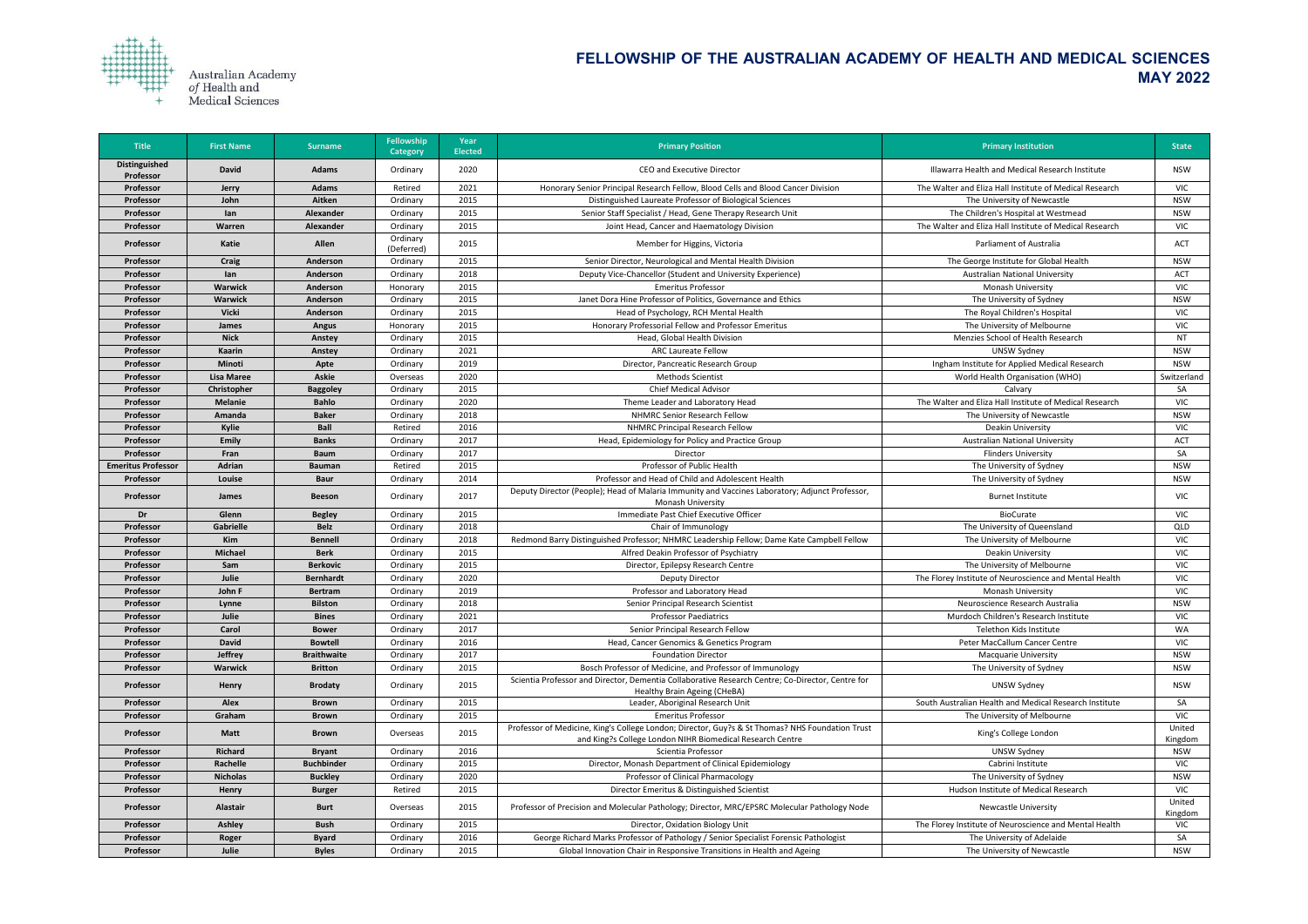

| <b>Distinguished</b><br>2020<br><b>David</b><br><b>Adams</b><br><b>CEO and Executive Director</b><br>Illawarra Health and Medical Research Institute<br><b>NSW</b><br>Ordinary<br>Professor<br>2021<br><b>VIC</b><br>Honorary Senior Principal Research Fellow, Blood Cells and Blood Cancer Division<br>The Walter and Eliza Hall Institute of Medical Research<br>Professor<br><b>Adams</b><br>Retired<br><b>Jerry</b><br>2015<br>Distinguished Laureate Professor of Biological Sciences<br>The University of Newcastle<br><b>NSW</b><br>John<br>Aitken<br>Professor<br>Ordinary<br>2015<br>Senior Staff Specialist / Head, Gene Therapy Research Unit<br>The Children's Hospital at Westmead<br><b>NSW</b><br>Professor<br>lan<br>Alexander<br>Ordinary<br>2015<br>The Walter and Eliza Hall Institute of Medical Research<br>Alexander<br>Joint Head, Cancer and Haematology Division<br>VIC<br>Professor<br>Warren<br>Ordinary<br>Ordinary<br>Allen<br>2015<br>Parliament of Australia<br>Katie<br>Member for Higgins, Victoria<br>ACT<br>Professor<br>(Deferred)<br>2015<br>Senior Director, Neurological and Mental Health Division<br>The George Institute for Global Health<br><b>NSW</b><br>Professor<br><b>Craig</b><br><b>Anderson</b><br>Ordinary<br>2018<br>Deputy Vice-Chancellor (Student and University Experience)<br><b>Australian National University</b><br>ACT<br>Professor<br>Anderson<br>Ordinary<br>lan<br>2015<br><b>Warwick</b><br><b>Emeritus Professor</b><br>Monash University<br><b>VIC</b><br>Professor<br><b>Anderson</b><br>Honorary<br>2015<br>Janet Dora Hine Professor of Politics, Governance and Ethics<br>The University of Sydney<br><b>NSW</b><br><b>Warwick</b><br>Anderson<br>Professor<br>Ordinary<br>2015<br><b>VIC</b><br><b>Vicki</b><br>Head of Psychology, RCH Mental Health<br>The Royal Children's Hospital<br>Professor<br><b>Anderson</b><br>Ordinary<br>2015<br>Honorary Professorial Fellow and Professor Emeritus<br>The University of Melbourne<br><b>VIC</b><br>Professor<br>James<br><b>Angus</b><br>Honorary<br>2015<br>Menzies School of Health Research<br>Professor<br><b>Nick</b><br>Head, Global Health Division<br><b>NT</b><br>Ordinary<br>Anstey<br>2021<br><b>ARC Laureate Fellow</b><br><b>UNSW Sydney</b><br><b>NSW</b><br>Professor<br>Kaarin<br>Ordinary<br>Anstey<br>2019<br>Minoti<br>Ingham Institute for Applied Medical Research<br><b>NSW</b><br>Ordinary<br>Director, Pancreatic Research Group<br>Professor<br>Apte<br><b>Askie</b><br>2020<br><b>Lisa Maree</b><br>Methods Scientist<br>World Health Organisation (WHO)<br>Switzerland<br>Professor<br>Overseas<br>2015<br><b>Chief Medical Advisor</b><br>SA<br>Calvary<br>Professor<br>Christopher<br><b>Baggoley</b><br>Ordinary<br><b>Bahlo</b><br>2020<br>The Walter and Eliza Hall Institute of Medical Research<br><b>Melanie</b><br>Theme Leader and Laboratory Head<br>VIC<br>Professor<br>Ordinary<br>2018<br><b>NHMRC Senior Research Fellow</b><br><b>Baker</b><br>The University of Newcastle<br><b>NSW</b><br>Professor<br>Amanda<br>Ordinary<br>2016<br><b>NHMRC Principal Research Fellow</b><br><b>VIC</b><br>Kylie<br><b>Ball</b><br>Retired<br>Deakin University<br>Professor<br>2017<br>Emily<br>Head, Epidemiology for Policy and Practice Group<br><b>Australian National University</b><br><b>ACT</b><br>Professor<br><b>Banks</b><br>Ordinary<br>2017<br>SA<br>Professor<br><b>Flinders University</b><br>Fran<br><b>Baum</b><br>Ordinary<br>Director<br>2015<br>Professor of Public Health<br>The University of Sydney<br>Adrian<br><b>Emeritus Professor</b><br>Retired<br><b>NSW</b><br><b>Bauman</b><br>Professor and Head of Child and Adolescent Health<br>2014<br>The University of Sydney<br>Professor<br>Louise<br>Ordinary<br>NSW<br><b>Baur</b><br>Deputy Director (People); Head of Malaria Immunity and Vaccines Laboratory; Adjunct Professor,<br>2017<br><b>VIC</b><br>Ordinary<br><b>Burnet Institute</b><br><b>Professor</b><br><b>Beeson</b><br><b>James</b><br><b>Monash University</b><br>2015<br>Immediate Past Chief Executive Officer<br><b>VIC</b><br>Dr<br>Glenn<br><b>Begley</b><br>Ordinary<br><b>BioCurate</b><br><b>Gabrielle</b><br><b>Belz</b><br>2018<br>Chair of Immunology<br>QLD<br>Professor<br>Ordinary<br>The University of Queensland<br>2018<br>Redmond Barry Distinguished Professor; NHMRC Leadership Fellow; Dame Kate Campbell Fellow<br>The University of Melbourne<br><b>VIC</b><br>Professor<br>Kim<br><b>Bennell</b><br>Ordinary<br>2015<br><b>VIC</b><br><b>Michael</b><br>Alfred Deakin Professor of Psychiatry<br><b>Berk</b><br>Deakin University<br>Professor<br>Ordinary<br>2015<br><b>VIC</b><br><b>Berkovic</b><br>The University of Melbourne<br>Director, Epilepsy Research Centre<br>Professor<br>Sam<br>Ordinary<br>2020<br>The Florey Institute of Neuroscience and Mental Health<br><b>VIC</b><br>Professor<br>Julie<br><b>Bernhardt</b><br><b>Deputy Director</b><br>Ordinary<br>2019<br>Professor and Laboratory Head<br><b>VIC</b><br>John F<br><b>Monash University</b><br>Professor<br>Ordinary<br><b>Bertram</b><br>2018<br>Senior Principal Research Scientist<br>Neuroscience Research Australia<br><b>NSW</b><br>Professor<br>Lynne<br><b>Bilston</b><br>Ordinary<br>2021<br><b>Professor Paediatrics</b><br><b>VIC</b><br>Professor<br>Julie<br>Murdoch Children's Research Institute<br><b>Bines</b><br>Ordinary<br>2017<br>Senior Principal Research Fellow<br>WA<br>Carol<br>Telethon Kids Institute<br>Professor<br><b>Bower</b><br>Ordinary<br>2016<br><b>VIC</b><br><b>David</b><br>Head, Cancer Genomics & Genetics Program<br>Peter MacCallum Cancer Centre<br>Professor<br><b>Bowtell</b><br>Ordinary<br><b>Jeffrey</b><br>2017<br>Professor<br><b>Braithwaite</b><br>Ordinary<br><b>Foundation Director</b><br><b>Macquarie University</b><br><b>NSW</b><br>2015<br>Bosch Professor of Medicine, and Professor of Immunology<br>The University of Sydney<br>Professor<br><b>Warwick</b><br><b>Britton</b><br><b>NSW</b><br>Ordinary<br>Scientia Professor and Director, Dementia Collaborative Research Centre; Co-Director, Centre for<br>2015<br><b>UNSW Sydney</b><br><b>NSW</b><br>Professor<br>Henry<br><b>Brodaty</b><br>Ordinary<br>Healthy Brain Ageing (CHeBA)<br>2015<br>Leader, Aboriginal Research Unit<br>South Australian Health and Medical Research Institute<br>SA<br>Professor<br><b>Alex</b><br><b>Brown</b><br>Ordinary<br><b>Emeritus Professor</b><br>Graham<br>2015<br>The University of Melbourne<br><b>VIC</b><br>Professor<br><b>Brown</b><br>Ordinary<br>Professor of Medicine, King's College London; Director, Guy?s & St Thomas? NHS Foundation Trust<br>United<br>2015<br><b>Matt</b><br>King's College London<br>Professor<br><b>Brown</b><br>Overseas<br>and King?s College London NIHR Biomedical Research Centre<br>Kingdom<br><b>Richard</b><br>2016<br>Scientia Professor<br>Professor<br>UNSW Sydney<br><b>NSW</b><br><b>Bryant</b><br>Ordinary<br>2015<br>Rachelle<br><b>Buchbinder</b><br>Director, Monash Department of Clinical Epidemiology<br>Cabrini Institute<br><b>VIC</b><br>Professor<br>Ordinary<br>2020<br>Professor of Clinical Pharmacology<br><b>Nicholas</b><br><b>Buckley</b><br>The University of Sydney<br>Professor<br><b>NSW</b><br>Ordinary<br>2015<br>Director Emeritus & Distinguished Scientist<br>Hudson Institute of Medical Research<br><b>VIC</b><br>Retired<br>Professor<br><b>Henry</b><br><b>Burger</b><br>United<br>2015<br>Professor of Precision and Molecular Pathology; Director, MRC/EPSRC Molecular Pathology Node<br>Professor<br>Alastair<br><b>Newcastle University</b><br><b>Burt</b><br>Overseas<br>Kingdom<br>2015<br>Director, Oxidation Biology Unit<br>The Florey Institute of Neuroscience and Mental Health<br>Professor<br>Ashley<br><b>Bush</b><br><b>VIC</b><br>Ordinary<br>2016<br>George Richard Marks Professor of Pathology / Senior Specialist Forensic Pathologist<br>SA<br>The University of Adelaide<br><b>Byard</b><br>Professor<br>Roger<br>Ordinary<br>2015<br>The University of Newcastle<br><b>NSW</b><br>Professor<br>Julie | <b>Title</b> | <b>First Name</b> | <b>Surname</b> | <b>Fellowship</b><br>Category | Year<br><b>Elected</b> | <b>Primary Position</b>                                                | <b>Primary Institution</b> | <b>State</b> |
|-------------------------------------------------------------------------------------------------------------------------------------------------------------------------------------------------------------------------------------------------------------------------------------------------------------------------------------------------------------------------------------------------------------------------------------------------------------------------------------------------------------------------------------------------------------------------------------------------------------------------------------------------------------------------------------------------------------------------------------------------------------------------------------------------------------------------------------------------------------------------------------------------------------------------------------------------------------------------------------------------------------------------------------------------------------------------------------------------------------------------------------------------------------------------------------------------------------------------------------------------------------------------------------------------------------------------------------------------------------------------------------------------------------------------------------------------------------------------------------------------------------------------------------------------------------------------------------------------------------------------------------------------------------------------------------------------------------------------------------------------------------------------------------------------------------------------------------------------------------------------------------------------------------------------------------------------------------------------------------------------------------------------------------------------------------------------------------------------------------------------------------------------------------------------------------------------------------------------------------------------------------------------------------------------------------------------------------------------------------------------------------------------------------------------------------------------------------------------------------------------------------------------------------------------------------------------------------------------------------------------------------------------------------------------------------------------------------------------------------------------------------------------------------------------------------------------------------------------------------------------------------------------------------------------------------------------------------------------------------------------------------------------------------------------------------------------------------------------------------------------------------------------------------------------------------------------------------------------------------------------------------------------------------------------------------------------------------------------------------------------------------------------------------------------------------------------------------------------------------------------------------------------------------------------------------------------------------------------------------------------------------------------------------------------------------------------------------------------------------------------------------------------------------------------------------------------------------------------------------------------------------------------------------------------------------------------------------------------------------------------------------------------------------------------------------------------------------------------------------------------------------------------------------------------------------------------------------------------------------------------------------------------------------------------------------------------------------------------------------------------------------------------------------------------------------------------------------------------------------------------------------------------------------------------------------------------------------------------------------------------------------------------------------------------------------------------------------------------------------------------------------------------------------------------------------------------------------------------------------------------------------------------------------------------------------------------------------------------------------------------------------------------------------------------------------------------------------------------------------------------------------------------------------------------------------------------------------------------------------------------------------------------------------------------------------------------------------------------------------------------------------------------------------------------------------------------------------------------------------------------------------------------------------------------------------------------------------------------------------------------------------------------------------------------------------------------------------------------------------------------------------------------------------------------------------------------------------------------------------------------------------------------------------------------------------------------------------------------------------------------------------------------------------------------------------------------------------------------------------------------------------------------------------------------------------------------------------------------------------------------------------------------------------------------------------------------------------------------------------------------------------------------------------------------------------------------------------------------------------------------------------------------------------------------------------------------------------------------------------------------------------------------------------------------------------------------------------------------------------------------------------------------------------------------------------------------------------------------------------------------------------------------------------------------------------------------------------------------------------------------------------------------------------------------------------------------------------------------------------------------------------------------------------------------------------------------------------------------------------------------------------------------------------------------------------------------------------------------------------------------------------------------------------------------------------------------------------------------------------------------------------------------------------------------------------------------------------------------------------------------------------------------------------------------------------------------------------------------------------------------------------------------------------------------------------------------------------------------------------------------------------------------------------------------------------------------------------------------------------------------------------------------------------------------------------------------------------------------------------------------------------------------------------------------------------|--------------|-------------------|----------------|-------------------------------|------------------------|------------------------------------------------------------------------|----------------------------|--------------|
|                                                                                                                                                                                                                                                                                                                                                                                                                                                                                                                                                                                                                                                                                                                                                                                                                                                                                                                                                                                                                                                                                                                                                                                                                                                                                                                                                                                                                                                                                                                                                                                                                                                                                                                                                                                                                                                                                                                                                                                                                                                                                                                                                                                                                                                                                                                                                                                                                                                                                                                                                                                                                                                                                                                                                                                                                                                                                                                                                                                                                                                                                                                                                                                                                                                                                                                                                                                                                                                                                                                                                                                                                                                                                                                                                                                                                                                                                                                                                                                                                                                                                                                                                                                                                                                                                                                                                                                                                                                                                                                                                                                                                                                                                                                                                                                                                                                                                                                                                                                                                                                                                                                                                                                                                                                                                                                                                                                                                                                                                                                                                                                                                                                                                                                                                                                                                                                                                                                                                                                                                                                                                                                                                                                                                                                                                                                                                                                                                                                                                                                                                                                                                                                                                                                                                                                                                                                                                                                                                                                                                                                                                                                                                                                                                                                                                                                                                                                                                                                                                                                                                                                                                                                                                                                                                                                                                                                                                                                                                                                                                                                                                                                                                                                     |              |                   |                |                               |                        |                                                                        |                            |              |
|                                                                                                                                                                                                                                                                                                                                                                                                                                                                                                                                                                                                                                                                                                                                                                                                                                                                                                                                                                                                                                                                                                                                                                                                                                                                                                                                                                                                                                                                                                                                                                                                                                                                                                                                                                                                                                                                                                                                                                                                                                                                                                                                                                                                                                                                                                                                                                                                                                                                                                                                                                                                                                                                                                                                                                                                                                                                                                                                                                                                                                                                                                                                                                                                                                                                                                                                                                                                                                                                                                                                                                                                                                                                                                                                                                                                                                                                                                                                                                                                                                                                                                                                                                                                                                                                                                                                                                                                                                                                                                                                                                                                                                                                                                                                                                                                                                                                                                                                                                                                                                                                                                                                                                                                                                                                                                                                                                                                                                                                                                                                                                                                                                                                                                                                                                                                                                                                                                                                                                                                                                                                                                                                                                                                                                                                                                                                                                                                                                                                                                                                                                                                                                                                                                                                                                                                                                                                                                                                                                                                                                                                                                                                                                                                                                                                                                                                                                                                                                                                                                                                                                                                                                                                                                                                                                                                                                                                                                                                                                                                                                                                                                                                                                                     |              |                   |                |                               |                        |                                                                        |                            |              |
|                                                                                                                                                                                                                                                                                                                                                                                                                                                                                                                                                                                                                                                                                                                                                                                                                                                                                                                                                                                                                                                                                                                                                                                                                                                                                                                                                                                                                                                                                                                                                                                                                                                                                                                                                                                                                                                                                                                                                                                                                                                                                                                                                                                                                                                                                                                                                                                                                                                                                                                                                                                                                                                                                                                                                                                                                                                                                                                                                                                                                                                                                                                                                                                                                                                                                                                                                                                                                                                                                                                                                                                                                                                                                                                                                                                                                                                                                                                                                                                                                                                                                                                                                                                                                                                                                                                                                                                                                                                                                                                                                                                                                                                                                                                                                                                                                                                                                                                                                                                                                                                                                                                                                                                                                                                                                                                                                                                                                                                                                                                                                                                                                                                                                                                                                                                                                                                                                                                                                                                                                                                                                                                                                                                                                                                                                                                                                                                                                                                                                                                                                                                                                                                                                                                                                                                                                                                                                                                                                                                                                                                                                                                                                                                                                                                                                                                                                                                                                                                                                                                                                                                                                                                                                                                                                                                                                                                                                                                                                                                                                                                                                                                                                                                     |              |                   |                |                               |                        |                                                                        |                            |              |
|                                                                                                                                                                                                                                                                                                                                                                                                                                                                                                                                                                                                                                                                                                                                                                                                                                                                                                                                                                                                                                                                                                                                                                                                                                                                                                                                                                                                                                                                                                                                                                                                                                                                                                                                                                                                                                                                                                                                                                                                                                                                                                                                                                                                                                                                                                                                                                                                                                                                                                                                                                                                                                                                                                                                                                                                                                                                                                                                                                                                                                                                                                                                                                                                                                                                                                                                                                                                                                                                                                                                                                                                                                                                                                                                                                                                                                                                                                                                                                                                                                                                                                                                                                                                                                                                                                                                                                                                                                                                                                                                                                                                                                                                                                                                                                                                                                                                                                                                                                                                                                                                                                                                                                                                                                                                                                                                                                                                                                                                                                                                                                                                                                                                                                                                                                                                                                                                                                                                                                                                                                                                                                                                                                                                                                                                                                                                                                                                                                                                                                                                                                                                                                                                                                                                                                                                                                                                                                                                                                                                                                                                                                                                                                                                                                                                                                                                                                                                                                                                                                                                                                                                                                                                                                                                                                                                                                                                                                                                                                                                                                                                                                                                                                                     |              |                   |                |                               |                        |                                                                        |                            |              |
|                                                                                                                                                                                                                                                                                                                                                                                                                                                                                                                                                                                                                                                                                                                                                                                                                                                                                                                                                                                                                                                                                                                                                                                                                                                                                                                                                                                                                                                                                                                                                                                                                                                                                                                                                                                                                                                                                                                                                                                                                                                                                                                                                                                                                                                                                                                                                                                                                                                                                                                                                                                                                                                                                                                                                                                                                                                                                                                                                                                                                                                                                                                                                                                                                                                                                                                                                                                                                                                                                                                                                                                                                                                                                                                                                                                                                                                                                                                                                                                                                                                                                                                                                                                                                                                                                                                                                                                                                                                                                                                                                                                                                                                                                                                                                                                                                                                                                                                                                                                                                                                                                                                                                                                                                                                                                                                                                                                                                                                                                                                                                                                                                                                                                                                                                                                                                                                                                                                                                                                                                                                                                                                                                                                                                                                                                                                                                                                                                                                                                                                                                                                                                                                                                                                                                                                                                                                                                                                                                                                                                                                                                                                                                                                                                                                                                                                                                                                                                                                                                                                                                                                                                                                                                                                                                                                                                                                                                                                                                                                                                                                                                                                                                                                     |              |                   |                |                               |                        |                                                                        |                            |              |
|                                                                                                                                                                                                                                                                                                                                                                                                                                                                                                                                                                                                                                                                                                                                                                                                                                                                                                                                                                                                                                                                                                                                                                                                                                                                                                                                                                                                                                                                                                                                                                                                                                                                                                                                                                                                                                                                                                                                                                                                                                                                                                                                                                                                                                                                                                                                                                                                                                                                                                                                                                                                                                                                                                                                                                                                                                                                                                                                                                                                                                                                                                                                                                                                                                                                                                                                                                                                                                                                                                                                                                                                                                                                                                                                                                                                                                                                                                                                                                                                                                                                                                                                                                                                                                                                                                                                                                                                                                                                                                                                                                                                                                                                                                                                                                                                                                                                                                                                                                                                                                                                                                                                                                                                                                                                                                                                                                                                                                                                                                                                                                                                                                                                                                                                                                                                                                                                                                                                                                                                                                                                                                                                                                                                                                                                                                                                                                                                                                                                                                                                                                                                                                                                                                                                                                                                                                                                                                                                                                                                                                                                                                                                                                                                                                                                                                                                                                                                                                                                                                                                                                                                                                                                                                                                                                                                                                                                                                                                                                                                                                                                                                                                                                                     |              |                   |                |                               |                        |                                                                        |                            |              |
|                                                                                                                                                                                                                                                                                                                                                                                                                                                                                                                                                                                                                                                                                                                                                                                                                                                                                                                                                                                                                                                                                                                                                                                                                                                                                                                                                                                                                                                                                                                                                                                                                                                                                                                                                                                                                                                                                                                                                                                                                                                                                                                                                                                                                                                                                                                                                                                                                                                                                                                                                                                                                                                                                                                                                                                                                                                                                                                                                                                                                                                                                                                                                                                                                                                                                                                                                                                                                                                                                                                                                                                                                                                                                                                                                                                                                                                                                                                                                                                                                                                                                                                                                                                                                                                                                                                                                                                                                                                                                                                                                                                                                                                                                                                                                                                                                                                                                                                                                                                                                                                                                                                                                                                                                                                                                                                                                                                                                                                                                                                                                                                                                                                                                                                                                                                                                                                                                                                                                                                                                                                                                                                                                                                                                                                                                                                                                                                                                                                                                                                                                                                                                                                                                                                                                                                                                                                                                                                                                                                                                                                                                                                                                                                                                                                                                                                                                                                                                                                                                                                                                                                                                                                                                                                                                                                                                                                                                                                                                                                                                                                                                                                                                                                     |              |                   |                |                               |                        |                                                                        |                            |              |
|                                                                                                                                                                                                                                                                                                                                                                                                                                                                                                                                                                                                                                                                                                                                                                                                                                                                                                                                                                                                                                                                                                                                                                                                                                                                                                                                                                                                                                                                                                                                                                                                                                                                                                                                                                                                                                                                                                                                                                                                                                                                                                                                                                                                                                                                                                                                                                                                                                                                                                                                                                                                                                                                                                                                                                                                                                                                                                                                                                                                                                                                                                                                                                                                                                                                                                                                                                                                                                                                                                                                                                                                                                                                                                                                                                                                                                                                                                                                                                                                                                                                                                                                                                                                                                                                                                                                                                                                                                                                                                                                                                                                                                                                                                                                                                                                                                                                                                                                                                                                                                                                                                                                                                                                                                                                                                                                                                                                                                                                                                                                                                                                                                                                                                                                                                                                                                                                                                                                                                                                                                                                                                                                                                                                                                                                                                                                                                                                                                                                                                                                                                                                                                                                                                                                                                                                                                                                                                                                                                                                                                                                                                                                                                                                                                                                                                                                                                                                                                                                                                                                                                                                                                                                                                                                                                                                                                                                                                                                                                                                                                                                                                                                                                                     |              |                   |                |                               |                        |                                                                        |                            |              |
|                                                                                                                                                                                                                                                                                                                                                                                                                                                                                                                                                                                                                                                                                                                                                                                                                                                                                                                                                                                                                                                                                                                                                                                                                                                                                                                                                                                                                                                                                                                                                                                                                                                                                                                                                                                                                                                                                                                                                                                                                                                                                                                                                                                                                                                                                                                                                                                                                                                                                                                                                                                                                                                                                                                                                                                                                                                                                                                                                                                                                                                                                                                                                                                                                                                                                                                                                                                                                                                                                                                                                                                                                                                                                                                                                                                                                                                                                                                                                                                                                                                                                                                                                                                                                                                                                                                                                                                                                                                                                                                                                                                                                                                                                                                                                                                                                                                                                                                                                                                                                                                                                                                                                                                                                                                                                                                                                                                                                                                                                                                                                                                                                                                                                                                                                                                                                                                                                                                                                                                                                                                                                                                                                                                                                                                                                                                                                                                                                                                                                                                                                                                                                                                                                                                                                                                                                                                                                                                                                                                                                                                                                                                                                                                                                                                                                                                                                                                                                                                                                                                                                                                                                                                                                                                                                                                                                                                                                                                                                                                                                                                                                                                                                                                     |              |                   |                |                               |                        |                                                                        |                            |              |
|                                                                                                                                                                                                                                                                                                                                                                                                                                                                                                                                                                                                                                                                                                                                                                                                                                                                                                                                                                                                                                                                                                                                                                                                                                                                                                                                                                                                                                                                                                                                                                                                                                                                                                                                                                                                                                                                                                                                                                                                                                                                                                                                                                                                                                                                                                                                                                                                                                                                                                                                                                                                                                                                                                                                                                                                                                                                                                                                                                                                                                                                                                                                                                                                                                                                                                                                                                                                                                                                                                                                                                                                                                                                                                                                                                                                                                                                                                                                                                                                                                                                                                                                                                                                                                                                                                                                                                                                                                                                                                                                                                                                                                                                                                                                                                                                                                                                                                                                                                                                                                                                                                                                                                                                                                                                                                                                                                                                                                                                                                                                                                                                                                                                                                                                                                                                                                                                                                                                                                                                                                                                                                                                                                                                                                                                                                                                                                                                                                                                                                                                                                                                                                                                                                                                                                                                                                                                                                                                                                                                                                                                                                                                                                                                                                                                                                                                                                                                                                                                                                                                                                                                                                                                                                                                                                                                                                                                                                                                                                                                                                                                                                                                                                                     |              |                   |                |                               |                        |                                                                        |                            |              |
|                                                                                                                                                                                                                                                                                                                                                                                                                                                                                                                                                                                                                                                                                                                                                                                                                                                                                                                                                                                                                                                                                                                                                                                                                                                                                                                                                                                                                                                                                                                                                                                                                                                                                                                                                                                                                                                                                                                                                                                                                                                                                                                                                                                                                                                                                                                                                                                                                                                                                                                                                                                                                                                                                                                                                                                                                                                                                                                                                                                                                                                                                                                                                                                                                                                                                                                                                                                                                                                                                                                                                                                                                                                                                                                                                                                                                                                                                                                                                                                                                                                                                                                                                                                                                                                                                                                                                                                                                                                                                                                                                                                                                                                                                                                                                                                                                                                                                                                                                                                                                                                                                                                                                                                                                                                                                                                                                                                                                                                                                                                                                                                                                                                                                                                                                                                                                                                                                                                                                                                                                                                                                                                                                                                                                                                                                                                                                                                                                                                                                                                                                                                                                                                                                                                                                                                                                                                                                                                                                                                                                                                                                                                                                                                                                                                                                                                                                                                                                                                                                                                                                                                                                                                                                                                                                                                                                                                                                                                                                                                                                                                                                                                                                                                     |              |                   |                |                               |                        |                                                                        |                            |              |
|                                                                                                                                                                                                                                                                                                                                                                                                                                                                                                                                                                                                                                                                                                                                                                                                                                                                                                                                                                                                                                                                                                                                                                                                                                                                                                                                                                                                                                                                                                                                                                                                                                                                                                                                                                                                                                                                                                                                                                                                                                                                                                                                                                                                                                                                                                                                                                                                                                                                                                                                                                                                                                                                                                                                                                                                                                                                                                                                                                                                                                                                                                                                                                                                                                                                                                                                                                                                                                                                                                                                                                                                                                                                                                                                                                                                                                                                                                                                                                                                                                                                                                                                                                                                                                                                                                                                                                                                                                                                                                                                                                                                                                                                                                                                                                                                                                                                                                                                                                                                                                                                                                                                                                                                                                                                                                                                                                                                                                                                                                                                                                                                                                                                                                                                                                                                                                                                                                                                                                                                                                                                                                                                                                                                                                                                                                                                                                                                                                                                                                                                                                                                                                                                                                                                                                                                                                                                                                                                                                                                                                                                                                                                                                                                                                                                                                                                                                                                                                                                                                                                                                                                                                                                                                                                                                                                                                                                                                                                                                                                                                                                                                                                                                                     |              |                   |                |                               |                        |                                                                        |                            |              |
|                                                                                                                                                                                                                                                                                                                                                                                                                                                                                                                                                                                                                                                                                                                                                                                                                                                                                                                                                                                                                                                                                                                                                                                                                                                                                                                                                                                                                                                                                                                                                                                                                                                                                                                                                                                                                                                                                                                                                                                                                                                                                                                                                                                                                                                                                                                                                                                                                                                                                                                                                                                                                                                                                                                                                                                                                                                                                                                                                                                                                                                                                                                                                                                                                                                                                                                                                                                                                                                                                                                                                                                                                                                                                                                                                                                                                                                                                                                                                                                                                                                                                                                                                                                                                                                                                                                                                                                                                                                                                                                                                                                                                                                                                                                                                                                                                                                                                                                                                                                                                                                                                                                                                                                                                                                                                                                                                                                                                                                                                                                                                                                                                                                                                                                                                                                                                                                                                                                                                                                                                                                                                                                                                                                                                                                                                                                                                                                                                                                                                                                                                                                                                                                                                                                                                                                                                                                                                                                                                                                                                                                                                                                                                                                                                                                                                                                                                                                                                                                                                                                                                                                                                                                                                                                                                                                                                                                                                                                                                                                                                                                                                                                                                                                     |              |                   |                |                               |                        |                                                                        |                            |              |
|                                                                                                                                                                                                                                                                                                                                                                                                                                                                                                                                                                                                                                                                                                                                                                                                                                                                                                                                                                                                                                                                                                                                                                                                                                                                                                                                                                                                                                                                                                                                                                                                                                                                                                                                                                                                                                                                                                                                                                                                                                                                                                                                                                                                                                                                                                                                                                                                                                                                                                                                                                                                                                                                                                                                                                                                                                                                                                                                                                                                                                                                                                                                                                                                                                                                                                                                                                                                                                                                                                                                                                                                                                                                                                                                                                                                                                                                                                                                                                                                                                                                                                                                                                                                                                                                                                                                                                                                                                                                                                                                                                                                                                                                                                                                                                                                                                                                                                                                                                                                                                                                                                                                                                                                                                                                                                                                                                                                                                                                                                                                                                                                                                                                                                                                                                                                                                                                                                                                                                                                                                                                                                                                                                                                                                                                                                                                                                                                                                                                                                                                                                                                                                                                                                                                                                                                                                                                                                                                                                                                                                                                                                                                                                                                                                                                                                                                                                                                                                                                                                                                                                                                                                                                                                                                                                                                                                                                                                                                                                                                                                                                                                                                                                                     |              |                   |                |                               |                        |                                                                        |                            |              |
|                                                                                                                                                                                                                                                                                                                                                                                                                                                                                                                                                                                                                                                                                                                                                                                                                                                                                                                                                                                                                                                                                                                                                                                                                                                                                                                                                                                                                                                                                                                                                                                                                                                                                                                                                                                                                                                                                                                                                                                                                                                                                                                                                                                                                                                                                                                                                                                                                                                                                                                                                                                                                                                                                                                                                                                                                                                                                                                                                                                                                                                                                                                                                                                                                                                                                                                                                                                                                                                                                                                                                                                                                                                                                                                                                                                                                                                                                                                                                                                                                                                                                                                                                                                                                                                                                                                                                                                                                                                                                                                                                                                                                                                                                                                                                                                                                                                                                                                                                                                                                                                                                                                                                                                                                                                                                                                                                                                                                                                                                                                                                                                                                                                                                                                                                                                                                                                                                                                                                                                                                                                                                                                                                                                                                                                                                                                                                                                                                                                                                                                                                                                                                                                                                                                                                                                                                                                                                                                                                                                                                                                                                                                                                                                                                                                                                                                                                                                                                                                                                                                                                                                                                                                                                                                                                                                                                                                                                                                                                                                                                                                                                                                                                                                     |              |                   |                |                               |                        |                                                                        |                            |              |
|                                                                                                                                                                                                                                                                                                                                                                                                                                                                                                                                                                                                                                                                                                                                                                                                                                                                                                                                                                                                                                                                                                                                                                                                                                                                                                                                                                                                                                                                                                                                                                                                                                                                                                                                                                                                                                                                                                                                                                                                                                                                                                                                                                                                                                                                                                                                                                                                                                                                                                                                                                                                                                                                                                                                                                                                                                                                                                                                                                                                                                                                                                                                                                                                                                                                                                                                                                                                                                                                                                                                                                                                                                                                                                                                                                                                                                                                                                                                                                                                                                                                                                                                                                                                                                                                                                                                                                                                                                                                                                                                                                                                                                                                                                                                                                                                                                                                                                                                                                                                                                                                                                                                                                                                                                                                                                                                                                                                                                                                                                                                                                                                                                                                                                                                                                                                                                                                                                                                                                                                                                                                                                                                                                                                                                                                                                                                                                                                                                                                                                                                                                                                                                                                                                                                                                                                                                                                                                                                                                                                                                                                                                                                                                                                                                                                                                                                                                                                                                                                                                                                                                                                                                                                                                                                                                                                                                                                                                                                                                                                                                                                                                                                                                                     |              |                   |                |                               |                        |                                                                        |                            |              |
|                                                                                                                                                                                                                                                                                                                                                                                                                                                                                                                                                                                                                                                                                                                                                                                                                                                                                                                                                                                                                                                                                                                                                                                                                                                                                                                                                                                                                                                                                                                                                                                                                                                                                                                                                                                                                                                                                                                                                                                                                                                                                                                                                                                                                                                                                                                                                                                                                                                                                                                                                                                                                                                                                                                                                                                                                                                                                                                                                                                                                                                                                                                                                                                                                                                                                                                                                                                                                                                                                                                                                                                                                                                                                                                                                                                                                                                                                                                                                                                                                                                                                                                                                                                                                                                                                                                                                                                                                                                                                                                                                                                                                                                                                                                                                                                                                                                                                                                                                                                                                                                                                                                                                                                                                                                                                                                                                                                                                                                                                                                                                                                                                                                                                                                                                                                                                                                                                                                                                                                                                                                                                                                                                                                                                                                                                                                                                                                                                                                                                                                                                                                                                                                                                                                                                                                                                                                                                                                                                                                                                                                                                                                                                                                                                                                                                                                                                                                                                                                                                                                                                                                                                                                                                                                                                                                                                                                                                                                                                                                                                                                                                                                                                                                     |              |                   |                |                               |                        |                                                                        |                            |              |
|                                                                                                                                                                                                                                                                                                                                                                                                                                                                                                                                                                                                                                                                                                                                                                                                                                                                                                                                                                                                                                                                                                                                                                                                                                                                                                                                                                                                                                                                                                                                                                                                                                                                                                                                                                                                                                                                                                                                                                                                                                                                                                                                                                                                                                                                                                                                                                                                                                                                                                                                                                                                                                                                                                                                                                                                                                                                                                                                                                                                                                                                                                                                                                                                                                                                                                                                                                                                                                                                                                                                                                                                                                                                                                                                                                                                                                                                                                                                                                                                                                                                                                                                                                                                                                                                                                                                                                                                                                                                                                                                                                                                                                                                                                                                                                                                                                                                                                                                                                                                                                                                                                                                                                                                                                                                                                                                                                                                                                                                                                                                                                                                                                                                                                                                                                                                                                                                                                                                                                                                                                                                                                                                                                                                                                                                                                                                                                                                                                                                                                                                                                                                                                                                                                                                                                                                                                                                                                                                                                                                                                                                                                                                                                                                                                                                                                                                                                                                                                                                                                                                                                                                                                                                                                                                                                                                                                                                                                                                                                                                                                                                                                                                                                                     |              |                   |                |                               |                        |                                                                        |                            |              |
|                                                                                                                                                                                                                                                                                                                                                                                                                                                                                                                                                                                                                                                                                                                                                                                                                                                                                                                                                                                                                                                                                                                                                                                                                                                                                                                                                                                                                                                                                                                                                                                                                                                                                                                                                                                                                                                                                                                                                                                                                                                                                                                                                                                                                                                                                                                                                                                                                                                                                                                                                                                                                                                                                                                                                                                                                                                                                                                                                                                                                                                                                                                                                                                                                                                                                                                                                                                                                                                                                                                                                                                                                                                                                                                                                                                                                                                                                                                                                                                                                                                                                                                                                                                                                                                                                                                                                                                                                                                                                                                                                                                                                                                                                                                                                                                                                                                                                                                                                                                                                                                                                                                                                                                                                                                                                                                                                                                                                                                                                                                                                                                                                                                                                                                                                                                                                                                                                                                                                                                                                                                                                                                                                                                                                                                                                                                                                                                                                                                                                                                                                                                                                                                                                                                                                                                                                                                                                                                                                                                                                                                                                                                                                                                                                                                                                                                                                                                                                                                                                                                                                                                                                                                                                                                                                                                                                                                                                                                                                                                                                                                                                                                                                                                     |              |                   |                |                               |                        |                                                                        |                            |              |
|                                                                                                                                                                                                                                                                                                                                                                                                                                                                                                                                                                                                                                                                                                                                                                                                                                                                                                                                                                                                                                                                                                                                                                                                                                                                                                                                                                                                                                                                                                                                                                                                                                                                                                                                                                                                                                                                                                                                                                                                                                                                                                                                                                                                                                                                                                                                                                                                                                                                                                                                                                                                                                                                                                                                                                                                                                                                                                                                                                                                                                                                                                                                                                                                                                                                                                                                                                                                                                                                                                                                                                                                                                                                                                                                                                                                                                                                                                                                                                                                                                                                                                                                                                                                                                                                                                                                                                                                                                                                                                                                                                                                                                                                                                                                                                                                                                                                                                                                                                                                                                                                                                                                                                                                                                                                                                                                                                                                                                                                                                                                                                                                                                                                                                                                                                                                                                                                                                                                                                                                                                                                                                                                                                                                                                                                                                                                                                                                                                                                                                                                                                                                                                                                                                                                                                                                                                                                                                                                                                                                                                                                                                                                                                                                                                                                                                                                                                                                                                                                                                                                                                                                                                                                                                                                                                                                                                                                                                                                                                                                                                                                                                                                                                                     |              |                   |                |                               |                        |                                                                        |                            |              |
|                                                                                                                                                                                                                                                                                                                                                                                                                                                                                                                                                                                                                                                                                                                                                                                                                                                                                                                                                                                                                                                                                                                                                                                                                                                                                                                                                                                                                                                                                                                                                                                                                                                                                                                                                                                                                                                                                                                                                                                                                                                                                                                                                                                                                                                                                                                                                                                                                                                                                                                                                                                                                                                                                                                                                                                                                                                                                                                                                                                                                                                                                                                                                                                                                                                                                                                                                                                                                                                                                                                                                                                                                                                                                                                                                                                                                                                                                                                                                                                                                                                                                                                                                                                                                                                                                                                                                                                                                                                                                                                                                                                                                                                                                                                                                                                                                                                                                                                                                                                                                                                                                                                                                                                                                                                                                                                                                                                                                                                                                                                                                                                                                                                                                                                                                                                                                                                                                                                                                                                                                                                                                                                                                                                                                                                                                                                                                                                                                                                                                                                                                                                                                                                                                                                                                                                                                                                                                                                                                                                                                                                                                                                                                                                                                                                                                                                                                                                                                                                                                                                                                                                                                                                                                                                                                                                                                                                                                                                                                                                                                                                                                                                                                                                     |              |                   |                |                               |                        |                                                                        |                            |              |
|                                                                                                                                                                                                                                                                                                                                                                                                                                                                                                                                                                                                                                                                                                                                                                                                                                                                                                                                                                                                                                                                                                                                                                                                                                                                                                                                                                                                                                                                                                                                                                                                                                                                                                                                                                                                                                                                                                                                                                                                                                                                                                                                                                                                                                                                                                                                                                                                                                                                                                                                                                                                                                                                                                                                                                                                                                                                                                                                                                                                                                                                                                                                                                                                                                                                                                                                                                                                                                                                                                                                                                                                                                                                                                                                                                                                                                                                                                                                                                                                                                                                                                                                                                                                                                                                                                                                                                                                                                                                                                                                                                                                                                                                                                                                                                                                                                                                                                                                                                                                                                                                                                                                                                                                                                                                                                                                                                                                                                                                                                                                                                                                                                                                                                                                                                                                                                                                                                                                                                                                                                                                                                                                                                                                                                                                                                                                                                                                                                                                                                                                                                                                                                                                                                                                                                                                                                                                                                                                                                                                                                                                                                                                                                                                                                                                                                                                                                                                                                                                                                                                                                                                                                                                                                                                                                                                                                                                                                                                                                                                                                                                                                                                                                                     |              |                   |                |                               |                        |                                                                        |                            |              |
|                                                                                                                                                                                                                                                                                                                                                                                                                                                                                                                                                                                                                                                                                                                                                                                                                                                                                                                                                                                                                                                                                                                                                                                                                                                                                                                                                                                                                                                                                                                                                                                                                                                                                                                                                                                                                                                                                                                                                                                                                                                                                                                                                                                                                                                                                                                                                                                                                                                                                                                                                                                                                                                                                                                                                                                                                                                                                                                                                                                                                                                                                                                                                                                                                                                                                                                                                                                                                                                                                                                                                                                                                                                                                                                                                                                                                                                                                                                                                                                                                                                                                                                                                                                                                                                                                                                                                                                                                                                                                                                                                                                                                                                                                                                                                                                                                                                                                                                                                                                                                                                                                                                                                                                                                                                                                                                                                                                                                                                                                                                                                                                                                                                                                                                                                                                                                                                                                                                                                                                                                                                                                                                                                                                                                                                                                                                                                                                                                                                                                                                                                                                                                                                                                                                                                                                                                                                                                                                                                                                                                                                                                                                                                                                                                                                                                                                                                                                                                                                                                                                                                                                                                                                                                                                                                                                                                                                                                                                                                                                                                                                                                                                                                                                     |              |                   |                |                               |                        |                                                                        |                            |              |
|                                                                                                                                                                                                                                                                                                                                                                                                                                                                                                                                                                                                                                                                                                                                                                                                                                                                                                                                                                                                                                                                                                                                                                                                                                                                                                                                                                                                                                                                                                                                                                                                                                                                                                                                                                                                                                                                                                                                                                                                                                                                                                                                                                                                                                                                                                                                                                                                                                                                                                                                                                                                                                                                                                                                                                                                                                                                                                                                                                                                                                                                                                                                                                                                                                                                                                                                                                                                                                                                                                                                                                                                                                                                                                                                                                                                                                                                                                                                                                                                                                                                                                                                                                                                                                                                                                                                                                                                                                                                                                                                                                                                                                                                                                                                                                                                                                                                                                                                                                                                                                                                                                                                                                                                                                                                                                                                                                                                                                                                                                                                                                                                                                                                                                                                                                                                                                                                                                                                                                                                                                                                                                                                                                                                                                                                                                                                                                                                                                                                                                                                                                                                                                                                                                                                                                                                                                                                                                                                                                                                                                                                                                                                                                                                                                                                                                                                                                                                                                                                                                                                                                                                                                                                                                                                                                                                                                                                                                                                                                                                                                                                                                                                                                                     |              |                   |                |                               |                        |                                                                        |                            |              |
|                                                                                                                                                                                                                                                                                                                                                                                                                                                                                                                                                                                                                                                                                                                                                                                                                                                                                                                                                                                                                                                                                                                                                                                                                                                                                                                                                                                                                                                                                                                                                                                                                                                                                                                                                                                                                                                                                                                                                                                                                                                                                                                                                                                                                                                                                                                                                                                                                                                                                                                                                                                                                                                                                                                                                                                                                                                                                                                                                                                                                                                                                                                                                                                                                                                                                                                                                                                                                                                                                                                                                                                                                                                                                                                                                                                                                                                                                                                                                                                                                                                                                                                                                                                                                                                                                                                                                                                                                                                                                                                                                                                                                                                                                                                                                                                                                                                                                                                                                                                                                                                                                                                                                                                                                                                                                                                                                                                                                                                                                                                                                                                                                                                                                                                                                                                                                                                                                                                                                                                                                                                                                                                                                                                                                                                                                                                                                                                                                                                                                                                                                                                                                                                                                                                                                                                                                                                                                                                                                                                                                                                                                                                                                                                                                                                                                                                                                                                                                                                                                                                                                                                                                                                                                                                                                                                                                                                                                                                                                                                                                                                                                                                                                                                     |              |                   |                |                               |                        |                                                                        |                            |              |
|                                                                                                                                                                                                                                                                                                                                                                                                                                                                                                                                                                                                                                                                                                                                                                                                                                                                                                                                                                                                                                                                                                                                                                                                                                                                                                                                                                                                                                                                                                                                                                                                                                                                                                                                                                                                                                                                                                                                                                                                                                                                                                                                                                                                                                                                                                                                                                                                                                                                                                                                                                                                                                                                                                                                                                                                                                                                                                                                                                                                                                                                                                                                                                                                                                                                                                                                                                                                                                                                                                                                                                                                                                                                                                                                                                                                                                                                                                                                                                                                                                                                                                                                                                                                                                                                                                                                                                                                                                                                                                                                                                                                                                                                                                                                                                                                                                                                                                                                                                                                                                                                                                                                                                                                                                                                                                                                                                                                                                                                                                                                                                                                                                                                                                                                                                                                                                                                                                                                                                                                                                                                                                                                                                                                                                                                                                                                                                                                                                                                                                                                                                                                                                                                                                                                                                                                                                                                                                                                                                                                                                                                                                                                                                                                                                                                                                                                                                                                                                                                                                                                                                                                                                                                                                                                                                                                                                                                                                                                                                                                                                                                                                                                                                                     |              |                   |                |                               |                        |                                                                        |                            |              |
|                                                                                                                                                                                                                                                                                                                                                                                                                                                                                                                                                                                                                                                                                                                                                                                                                                                                                                                                                                                                                                                                                                                                                                                                                                                                                                                                                                                                                                                                                                                                                                                                                                                                                                                                                                                                                                                                                                                                                                                                                                                                                                                                                                                                                                                                                                                                                                                                                                                                                                                                                                                                                                                                                                                                                                                                                                                                                                                                                                                                                                                                                                                                                                                                                                                                                                                                                                                                                                                                                                                                                                                                                                                                                                                                                                                                                                                                                                                                                                                                                                                                                                                                                                                                                                                                                                                                                                                                                                                                                                                                                                                                                                                                                                                                                                                                                                                                                                                                                                                                                                                                                                                                                                                                                                                                                                                                                                                                                                                                                                                                                                                                                                                                                                                                                                                                                                                                                                                                                                                                                                                                                                                                                                                                                                                                                                                                                                                                                                                                                                                                                                                                                                                                                                                                                                                                                                                                                                                                                                                                                                                                                                                                                                                                                                                                                                                                                                                                                                                                                                                                                                                                                                                                                                                                                                                                                                                                                                                                                                                                                                                                                                                                                                                     |              |                   |                |                               |                        |                                                                        |                            |              |
|                                                                                                                                                                                                                                                                                                                                                                                                                                                                                                                                                                                                                                                                                                                                                                                                                                                                                                                                                                                                                                                                                                                                                                                                                                                                                                                                                                                                                                                                                                                                                                                                                                                                                                                                                                                                                                                                                                                                                                                                                                                                                                                                                                                                                                                                                                                                                                                                                                                                                                                                                                                                                                                                                                                                                                                                                                                                                                                                                                                                                                                                                                                                                                                                                                                                                                                                                                                                                                                                                                                                                                                                                                                                                                                                                                                                                                                                                                                                                                                                                                                                                                                                                                                                                                                                                                                                                                                                                                                                                                                                                                                                                                                                                                                                                                                                                                                                                                                                                                                                                                                                                                                                                                                                                                                                                                                                                                                                                                                                                                                                                                                                                                                                                                                                                                                                                                                                                                                                                                                                                                                                                                                                                                                                                                                                                                                                                                                                                                                                                                                                                                                                                                                                                                                                                                                                                                                                                                                                                                                                                                                                                                                                                                                                                                                                                                                                                                                                                                                                                                                                                                                                                                                                                                                                                                                                                                                                                                                                                                                                                                                                                                                                                                                     |              |                   |                |                               |                        |                                                                        |                            |              |
|                                                                                                                                                                                                                                                                                                                                                                                                                                                                                                                                                                                                                                                                                                                                                                                                                                                                                                                                                                                                                                                                                                                                                                                                                                                                                                                                                                                                                                                                                                                                                                                                                                                                                                                                                                                                                                                                                                                                                                                                                                                                                                                                                                                                                                                                                                                                                                                                                                                                                                                                                                                                                                                                                                                                                                                                                                                                                                                                                                                                                                                                                                                                                                                                                                                                                                                                                                                                                                                                                                                                                                                                                                                                                                                                                                                                                                                                                                                                                                                                                                                                                                                                                                                                                                                                                                                                                                                                                                                                                                                                                                                                                                                                                                                                                                                                                                                                                                                                                                                                                                                                                                                                                                                                                                                                                                                                                                                                                                                                                                                                                                                                                                                                                                                                                                                                                                                                                                                                                                                                                                                                                                                                                                                                                                                                                                                                                                                                                                                                                                                                                                                                                                                                                                                                                                                                                                                                                                                                                                                                                                                                                                                                                                                                                                                                                                                                                                                                                                                                                                                                                                                                                                                                                                                                                                                                                                                                                                                                                                                                                                                                                                                                                                                     |              |                   |                |                               |                        |                                                                        |                            |              |
|                                                                                                                                                                                                                                                                                                                                                                                                                                                                                                                                                                                                                                                                                                                                                                                                                                                                                                                                                                                                                                                                                                                                                                                                                                                                                                                                                                                                                                                                                                                                                                                                                                                                                                                                                                                                                                                                                                                                                                                                                                                                                                                                                                                                                                                                                                                                                                                                                                                                                                                                                                                                                                                                                                                                                                                                                                                                                                                                                                                                                                                                                                                                                                                                                                                                                                                                                                                                                                                                                                                                                                                                                                                                                                                                                                                                                                                                                                                                                                                                                                                                                                                                                                                                                                                                                                                                                                                                                                                                                                                                                                                                                                                                                                                                                                                                                                                                                                                                                                                                                                                                                                                                                                                                                                                                                                                                                                                                                                                                                                                                                                                                                                                                                                                                                                                                                                                                                                                                                                                                                                                                                                                                                                                                                                                                                                                                                                                                                                                                                                                                                                                                                                                                                                                                                                                                                                                                                                                                                                                                                                                                                                                                                                                                                                                                                                                                                                                                                                                                                                                                                                                                                                                                                                                                                                                                                                                                                                                                                                                                                                                                                                                                                                                     |              |                   |                |                               |                        |                                                                        |                            |              |
|                                                                                                                                                                                                                                                                                                                                                                                                                                                                                                                                                                                                                                                                                                                                                                                                                                                                                                                                                                                                                                                                                                                                                                                                                                                                                                                                                                                                                                                                                                                                                                                                                                                                                                                                                                                                                                                                                                                                                                                                                                                                                                                                                                                                                                                                                                                                                                                                                                                                                                                                                                                                                                                                                                                                                                                                                                                                                                                                                                                                                                                                                                                                                                                                                                                                                                                                                                                                                                                                                                                                                                                                                                                                                                                                                                                                                                                                                                                                                                                                                                                                                                                                                                                                                                                                                                                                                                                                                                                                                                                                                                                                                                                                                                                                                                                                                                                                                                                                                                                                                                                                                                                                                                                                                                                                                                                                                                                                                                                                                                                                                                                                                                                                                                                                                                                                                                                                                                                                                                                                                                                                                                                                                                                                                                                                                                                                                                                                                                                                                                                                                                                                                                                                                                                                                                                                                                                                                                                                                                                                                                                                                                                                                                                                                                                                                                                                                                                                                                                                                                                                                                                                                                                                                                                                                                                                                                                                                                                                                                                                                                                                                                                                                                                     |              |                   |                |                               |                        |                                                                        |                            |              |
|                                                                                                                                                                                                                                                                                                                                                                                                                                                                                                                                                                                                                                                                                                                                                                                                                                                                                                                                                                                                                                                                                                                                                                                                                                                                                                                                                                                                                                                                                                                                                                                                                                                                                                                                                                                                                                                                                                                                                                                                                                                                                                                                                                                                                                                                                                                                                                                                                                                                                                                                                                                                                                                                                                                                                                                                                                                                                                                                                                                                                                                                                                                                                                                                                                                                                                                                                                                                                                                                                                                                                                                                                                                                                                                                                                                                                                                                                                                                                                                                                                                                                                                                                                                                                                                                                                                                                                                                                                                                                                                                                                                                                                                                                                                                                                                                                                                                                                                                                                                                                                                                                                                                                                                                                                                                                                                                                                                                                                                                                                                                                                                                                                                                                                                                                                                                                                                                                                                                                                                                                                                                                                                                                                                                                                                                                                                                                                                                                                                                                                                                                                                                                                                                                                                                                                                                                                                                                                                                                                                                                                                                                                                                                                                                                                                                                                                                                                                                                                                                                                                                                                                                                                                                                                                                                                                                                                                                                                                                                                                                                                                                                                                                                                                     |              |                   |                |                               |                        |                                                                        |                            |              |
|                                                                                                                                                                                                                                                                                                                                                                                                                                                                                                                                                                                                                                                                                                                                                                                                                                                                                                                                                                                                                                                                                                                                                                                                                                                                                                                                                                                                                                                                                                                                                                                                                                                                                                                                                                                                                                                                                                                                                                                                                                                                                                                                                                                                                                                                                                                                                                                                                                                                                                                                                                                                                                                                                                                                                                                                                                                                                                                                                                                                                                                                                                                                                                                                                                                                                                                                                                                                                                                                                                                                                                                                                                                                                                                                                                                                                                                                                                                                                                                                                                                                                                                                                                                                                                                                                                                                                                                                                                                                                                                                                                                                                                                                                                                                                                                                                                                                                                                                                                                                                                                                                                                                                                                                                                                                                                                                                                                                                                                                                                                                                                                                                                                                                                                                                                                                                                                                                                                                                                                                                                                                                                                                                                                                                                                                                                                                                                                                                                                                                                                                                                                                                                                                                                                                                                                                                                                                                                                                                                                                                                                                                                                                                                                                                                                                                                                                                                                                                                                                                                                                                                                                                                                                                                                                                                                                                                                                                                                                                                                                                                                                                                                                                                                     |              |                   |                |                               |                        |                                                                        |                            |              |
|                                                                                                                                                                                                                                                                                                                                                                                                                                                                                                                                                                                                                                                                                                                                                                                                                                                                                                                                                                                                                                                                                                                                                                                                                                                                                                                                                                                                                                                                                                                                                                                                                                                                                                                                                                                                                                                                                                                                                                                                                                                                                                                                                                                                                                                                                                                                                                                                                                                                                                                                                                                                                                                                                                                                                                                                                                                                                                                                                                                                                                                                                                                                                                                                                                                                                                                                                                                                                                                                                                                                                                                                                                                                                                                                                                                                                                                                                                                                                                                                                                                                                                                                                                                                                                                                                                                                                                                                                                                                                                                                                                                                                                                                                                                                                                                                                                                                                                                                                                                                                                                                                                                                                                                                                                                                                                                                                                                                                                                                                                                                                                                                                                                                                                                                                                                                                                                                                                                                                                                                                                                                                                                                                                                                                                                                                                                                                                                                                                                                                                                                                                                                                                                                                                                                                                                                                                                                                                                                                                                                                                                                                                                                                                                                                                                                                                                                                                                                                                                                                                                                                                                                                                                                                                                                                                                                                                                                                                                                                                                                                                                                                                                                                                                     |              |                   |                |                               |                        |                                                                        |                            |              |
|                                                                                                                                                                                                                                                                                                                                                                                                                                                                                                                                                                                                                                                                                                                                                                                                                                                                                                                                                                                                                                                                                                                                                                                                                                                                                                                                                                                                                                                                                                                                                                                                                                                                                                                                                                                                                                                                                                                                                                                                                                                                                                                                                                                                                                                                                                                                                                                                                                                                                                                                                                                                                                                                                                                                                                                                                                                                                                                                                                                                                                                                                                                                                                                                                                                                                                                                                                                                                                                                                                                                                                                                                                                                                                                                                                                                                                                                                                                                                                                                                                                                                                                                                                                                                                                                                                                                                                                                                                                                                                                                                                                                                                                                                                                                                                                                                                                                                                                                                                                                                                                                                                                                                                                                                                                                                                                                                                                                                                                                                                                                                                                                                                                                                                                                                                                                                                                                                                                                                                                                                                                                                                                                                                                                                                                                                                                                                                                                                                                                                                                                                                                                                                                                                                                                                                                                                                                                                                                                                                                                                                                                                                                                                                                                                                                                                                                                                                                                                                                                                                                                                                                                                                                                                                                                                                                                                                                                                                                                                                                                                                                                                                                                                                                     |              |                   |                |                               |                        |                                                                        |                            |              |
|                                                                                                                                                                                                                                                                                                                                                                                                                                                                                                                                                                                                                                                                                                                                                                                                                                                                                                                                                                                                                                                                                                                                                                                                                                                                                                                                                                                                                                                                                                                                                                                                                                                                                                                                                                                                                                                                                                                                                                                                                                                                                                                                                                                                                                                                                                                                                                                                                                                                                                                                                                                                                                                                                                                                                                                                                                                                                                                                                                                                                                                                                                                                                                                                                                                                                                                                                                                                                                                                                                                                                                                                                                                                                                                                                                                                                                                                                                                                                                                                                                                                                                                                                                                                                                                                                                                                                                                                                                                                                                                                                                                                                                                                                                                                                                                                                                                                                                                                                                                                                                                                                                                                                                                                                                                                                                                                                                                                                                                                                                                                                                                                                                                                                                                                                                                                                                                                                                                                                                                                                                                                                                                                                                                                                                                                                                                                                                                                                                                                                                                                                                                                                                                                                                                                                                                                                                                                                                                                                                                                                                                                                                                                                                                                                                                                                                                                                                                                                                                                                                                                                                                                                                                                                                                                                                                                                                                                                                                                                                                                                                                                                                                                                                                     |              |                   |                |                               |                        |                                                                        |                            |              |
|                                                                                                                                                                                                                                                                                                                                                                                                                                                                                                                                                                                                                                                                                                                                                                                                                                                                                                                                                                                                                                                                                                                                                                                                                                                                                                                                                                                                                                                                                                                                                                                                                                                                                                                                                                                                                                                                                                                                                                                                                                                                                                                                                                                                                                                                                                                                                                                                                                                                                                                                                                                                                                                                                                                                                                                                                                                                                                                                                                                                                                                                                                                                                                                                                                                                                                                                                                                                                                                                                                                                                                                                                                                                                                                                                                                                                                                                                                                                                                                                                                                                                                                                                                                                                                                                                                                                                                                                                                                                                                                                                                                                                                                                                                                                                                                                                                                                                                                                                                                                                                                                                                                                                                                                                                                                                                                                                                                                                                                                                                                                                                                                                                                                                                                                                                                                                                                                                                                                                                                                                                                                                                                                                                                                                                                                                                                                                                                                                                                                                                                                                                                                                                                                                                                                                                                                                                                                                                                                                                                                                                                                                                                                                                                                                                                                                                                                                                                                                                                                                                                                                                                                                                                                                                                                                                                                                                                                                                                                                                                                                                                                                                                                                                                     |              |                   |                |                               |                        |                                                                        |                            |              |
|                                                                                                                                                                                                                                                                                                                                                                                                                                                                                                                                                                                                                                                                                                                                                                                                                                                                                                                                                                                                                                                                                                                                                                                                                                                                                                                                                                                                                                                                                                                                                                                                                                                                                                                                                                                                                                                                                                                                                                                                                                                                                                                                                                                                                                                                                                                                                                                                                                                                                                                                                                                                                                                                                                                                                                                                                                                                                                                                                                                                                                                                                                                                                                                                                                                                                                                                                                                                                                                                                                                                                                                                                                                                                                                                                                                                                                                                                                                                                                                                                                                                                                                                                                                                                                                                                                                                                                                                                                                                                                                                                                                                                                                                                                                                                                                                                                                                                                                                                                                                                                                                                                                                                                                                                                                                                                                                                                                                                                                                                                                                                                                                                                                                                                                                                                                                                                                                                                                                                                                                                                                                                                                                                                                                                                                                                                                                                                                                                                                                                                                                                                                                                                                                                                                                                                                                                                                                                                                                                                                                                                                                                                                                                                                                                                                                                                                                                                                                                                                                                                                                                                                                                                                                                                                                                                                                                                                                                                                                                                                                                                                                                                                                                                                     |              |                   |                |                               |                        |                                                                        |                            |              |
|                                                                                                                                                                                                                                                                                                                                                                                                                                                                                                                                                                                                                                                                                                                                                                                                                                                                                                                                                                                                                                                                                                                                                                                                                                                                                                                                                                                                                                                                                                                                                                                                                                                                                                                                                                                                                                                                                                                                                                                                                                                                                                                                                                                                                                                                                                                                                                                                                                                                                                                                                                                                                                                                                                                                                                                                                                                                                                                                                                                                                                                                                                                                                                                                                                                                                                                                                                                                                                                                                                                                                                                                                                                                                                                                                                                                                                                                                                                                                                                                                                                                                                                                                                                                                                                                                                                                                                                                                                                                                                                                                                                                                                                                                                                                                                                                                                                                                                                                                                                                                                                                                                                                                                                                                                                                                                                                                                                                                                                                                                                                                                                                                                                                                                                                                                                                                                                                                                                                                                                                                                                                                                                                                                                                                                                                                                                                                                                                                                                                                                                                                                                                                                                                                                                                                                                                                                                                                                                                                                                                                                                                                                                                                                                                                                                                                                                                                                                                                                                                                                                                                                                                                                                                                                                                                                                                                                                                                                                                                                                                                                                                                                                                                                                     |              |                   |                |                               |                        |                                                                        |                            |              |
|                                                                                                                                                                                                                                                                                                                                                                                                                                                                                                                                                                                                                                                                                                                                                                                                                                                                                                                                                                                                                                                                                                                                                                                                                                                                                                                                                                                                                                                                                                                                                                                                                                                                                                                                                                                                                                                                                                                                                                                                                                                                                                                                                                                                                                                                                                                                                                                                                                                                                                                                                                                                                                                                                                                                                                                                                                                                                                                                                                                                                                                                                                                                                                                                                                                                                                                                                                                                                                                                                                                                                                                                                                                                                                                                                                                                                                                                                                                                                                                                                                                                                                                                                                                                                                                                                                                                                                                                                                                                                                                                                                                                                                                                                                                                                                                                                                                                                                                                                                                                                                                                                                                                                                                                                                                                                                                                                                                                                                                                                                                                                                                                                                                                                                                                                                                                                                                                                                                                                                                                                                                                                                                                                                                                                                                                                                                                                                                                                                                                                                                                                                                                                                                                                                                                                                                                                                                                                                                                                                                                                                                                                                                                                                                                                                                                                                                                                                                                                                                                                                                                                                                                                                                                                                                                                                                                                                                                                                                                                                                                                                                                                                                                                                                     |              |                   |                |                               |                        |                                                                        |                            |              |
|                                                                                                                                                                                                                                                                                                                                                                                                                                                                                                                                                                                                                                                                                                                                                                                                                                                                                                                                                                                                                                                                                                                                                                                                                                                                                                                                                                                                                                                                                                                                                                                                                                                                                                                                                                                                                                                                                                                                                                                                                                                                                                                                                                                                                                                                                                                                                                                                                                                                                                                                                                                                                                                                                                                                                                                                                                                                                                                                                                                                                                                                                                                                                                                                                                                                                                                                                                                                                                                                                                                                                                                                                                                                                                                                                                                                                                                                                                                                                                                                                                                                                                                                                                                                                                                                                                                                                                                                                                                                                                                                                                                                                                                                                                                                                                                                                                                                                                                                                                                                                                                                                                                                                                                                                                                                                                                                                                                                                                                                                                                                                                                                                                                                                                                                                                                                                                                                                                                                                                                                                                                                                                                                                                                                                                                                                                                                                                                                                                                                                                                                                                                                                                                                                                                                                                                                                                                                                                                                                                                                                                                                                                                                                                                                                                                                                                                                                                                                                                                                                                                                                                                                                                                                                                                                                                                                                                                                                                                                                                                                                                                                                                                                                                                     |              |                   |                |                               |                        |                                                                        |                            |              |
|                                                                                                                                                                                                                                                                                                                                                                                                                                                                                                                                                                                                                                                                                                                                                                                                                                                                                                                                                                                                                                                                                                                                                                                                                                                                                                                                                                                                                                                                                                                                                                                                                                                                                                                                                                                                                                                                                                                                                                                                                                                                                                                                                                                                                                                                                                                                                                                                                                                                                                                                                                                                                                                                                                                                                                                                                                                                                                                                                                                                                                                                                                                                                                                                                                                                                                                                                                                                                                                                                                                                                                                                                                                                                                                                                                                                                                                                                                                                                                                                                                                                                                                                                                                                                                                                                                                                                                                                                                                                                                                                                                                                                                                                                                                                                                                                                                                                                                                                                                                                                                                                                                                                                                                                                                                                                                                                                                                                                                                                                                                                                                                                                                                                                                                                                                                                                                                                                                                                                                                                                                                                                                                                                                                                                                                                                                                                                                                                                                                                                                                                                                                                                                                                                                                                                                                                                                                                                                                                                                                                                                                                                                                                                                                                                                                                                                                                                                                                                                                                                                                                                                                                                                                                                                                                                                                                                                                                                                                                                                                                                                                                                                                                                                                     |              |                   |                |                               |                        |                                                                        |                            |              |
|                                                                                                                                                                                                                                                                                                                                                                                                                                                                                                                                                                                                                                                                                                                                                                                                                                                                                                                                                                                                                                                                                                                                                                                                                                                                                                                                                                                                                                                                                                                                                                                                                                                                                                                                                                                                                                                                                                                                                                                                                                                                                                                                                                                                                                                                                                                                                                                                                                                                                                                                                                                                                                                                                                                                                                                                                                                                                                                                                                                                                                                                                                                                                                                                                                                                                                                                                                                                                                                                                                                                                                                                                                                                                                                                                                                                                                                                                                                                                                                                                                                                                                                                                                                                                                                                                                                                                                                                                                                                                                                                                                                                                                                                                                                                                                                                                                                                                                                                                                                                                                                                                                                                                                                                                                                                                                                                                                                                                                                                                                                                                                                                                                                                                                                                                                                                                                                                                                                                                                                                                                                                                                                                                                                                                                                                                                                                                                                                                                                                                                                                                                                                                                                                                                                                                                                                                                                                                                                                                                                                                                                                                                                                                                                                                                                                                                                                                                                                                                                                                                                                                                                                                                                                                                                                                                                                                                                                                                                                                                                                                                                                                                                                                                                     |              |                   |                |                               |                        |                                                                        |                            |              |
|                                                                                                                                                                                                                                                                                                                                                                                                                                                                                                                                                                                                                                                                                                                                                                                                                                                                                                                                                                                                                                                                                                                                                                                                                                                                                                                                                                                                                                                                                                                                                                                                                                                                                                                                                                                                                                                                                                                                                                                                                                                                                                                                                                                                                                                                                                                                                                                                                                                                                                                                                                                                                                                                                                                                                                                                                                                                                                                                                                                                                                                                                                                                                                                                                                                                                                                                                                                                                                                                                                                                                                                                                                                                                                                                                                                                                                                                                                                                                                                                                                                                                                                                                                                                                                                                                                                                                                                                                                                                                                                                                                                                                                                                                                                                                                                                                                                                                                                                                                                                                                                                                                                                                                                                                                                                                                                                                                                                                                                                                                                                                                                                                                                                                                                                                                                                                                                                                                                                                                                                                                                                                                                                                                                                                                                                                                                                                                                                                                                                                                                                                                                                                                                                                                                                                                                                                                                                                                                                                                                                                                                                                                                                                                                                                                                                                                                                                                                                                                                                                                                                                                                                                                                                                                                                                                                                                                                                                                                                                                                                                                                                                                                                                                                     |              |                   |                |                               |                        |                                                                        |                            |              |
|                                                                                                                                                                                                                                                                                                                                                                                                                                                                                                                                                                                                                                                                                                                                                                                                                                                                                                                                                                                                                                                                                                                                                                                                                                                                                                                                                                                                                                                                                                                                                                                                                                                                                                                                                                                                                                                                                                                                                                                                                                                                                                                                                                                                                                                                                                                                                                                                                                                                                                                                                                                                                                                                                                                                                                                                                                                                                                                                                                                                                                                                                                                                                                                                                                                                                                                                                                                                                                                                                                                                                                                                                                                                                                                                                                                                                                                                                                                                                                                                                                                                                                                                                                                                                                                                                                                                                                                                                                                                                                                                                                                                                                                                                                                                                                                                                                                                                                                                                                                                                                                                                                                                                                                                                                                                                                                                                                                                                                                                                                                                                                                                                                                                                                                                                                                                                                                                                                                                                                                                                                                                                                                                                                                                                                                                                                                                                                                                                                                                                                                                                                                                                                                                                                                                                                                                                                                                                                                                                                                                                                                                                                                                                                                                                                                                                                                                                                                                                                                                                                                                                                                                                                                                                                                                                                                                                                                                                                                                                                                                                                                                                                                                                                                     |              |                   |                |                               |                        |                                                                        |                            |              |
|                                                                                                                                                                                                                                                                                                                                                                                                                                                                                                                                                                                                                                                                                                                                                                                                                                                                                                                                                                                                                                                                                                                                                                                                                                                                                                                                                                                                                                                                                                                                                                                                                                                                                                                                                                                                                                                                                                                                                                                                                                                                                                                                                                                                                                                                                                                                                                                                                                                                                                                                                                                                                                                                                                                                                                                                                                                                                                                                                                                                                                                                                                                                                                                                                                                                                                                                                                                                                                                                                                                                                                                                                                                                                                                                                                                                                                                                                                                                                                                                                                                                                                                                                                                                                                                                                                                                                                                                                                                                                                                                                                                                                                                                                                                                                                                                                                                                                                                                                                                                                                                                                                                                                                                                                                                                                                                                                                                                                                                                                                                                                                                                                                                                                                                                                                                                                                                                                                                                                                                                                                                                                                                                                                                                                                                                                                                                                                                                                                                                                                                                                                                                                                                                                                                                                                                                                                                                                                                                                                                                                                                                                                                                                                                                                                                                                                                                                                                                                                                                                                                                                                                                                                                                                                                                                                                                                                                                                                                                                                                                                                                                                                                                                                                     |              |                   |                |                               |                        |                                                                        |                            |              |
|                                                                                                                                                                                                                                                                                                                                                                                                                                                                                                                                                                                                                                                                                                                                                                                                                                                                                                                                                                                                                                                                                                                                                                                                                                                                                                                                                                                                                                                                                                                                                                                                                                                                                                                                                                                                                                                                                                                                                                                                                                                                                                                                                                                                                                                                                                                                                                                                                                                                                                                                                                                                                                                                                                                                                                                                                                                                                                                                                                                                                                                                                                                                                                                                                                                                                                                                                                                                                                                                                                                                                                                                                                                                                                                                                                                                                                                                                                                                                                                                                                                                                                                                                                                                                                                                                                                                                                                                                                                                                                                                                                                                                                                                                                                                                                                                                                                                                                                                                                                                                                                                                                                                                                                                                                                                                                                                                                                                                                                                                                                                                                                                                                                                                                                                                                                                                                                                                                                                                                                                                                                                                                                                                                                                                                                                                                                                                                                                                                                                                                                                                                                                                                                                                                                                                                                                                                                                                                                                                                                                                                                                                                                                                                                                                                                                                                                                                                                                                                                                                                                                                                                                                                                                                                                                                                                                                                                                                                                                                                                                                                                                                                                                                                                     |              |                   |                |                               |                        |                                                                        |                            |              |
|                                                                                                                                                                                                                                                                                                                                                                                                                                                                                                                                                                                                                                                                                                                                                                                                                                                                                                                                                                                                                                                                                                                                                                                                                                                                                                                                                                                                                                                                                                                                                                                                                                                                                                                                                                                                                                                                                                                                                                                                                                                                                                                                                                                                                                                                                                                                                                                                                                                                                                                                                                                                                                                                                                                                                                                                                                                                                                                                                                                                                                                                                                                                                                                                                                                                                                                                                                                                                                                                                                                                                                                                                                                                                                                                                                                                                                                                                                                                                                                                                                                                                                                                                                                                                                                                                                                                                                                                                                                                                                                                                                                                                                                                                                                                                                                                                                                                                                                                                                                                                                                                                                                                                                                                                                                                                                                                                                                                                                                                                                                                                                                                                                                                                                                                                                                                                                                                                                                                                                                                                                                                                                                                                                                                                                                                                                                                                                                                                                                                                                                                                                                                                                                                                                                                                                                                                                                                                                                                                                                                                                                                                                                                                                                                                                                                                                                                                                                                                                                                                                                                                                                                                                                                                                                                                                                                                                                                                                                                                                                                                                                                                                                                                                                     |              |                   |                |                               |                        |                                                                        |                            |              |
|                                                                                                                                                                                                                                                                                                                                                                                                                                                                                                                                                                                                                                                                                                                                                                                                                                                                                                                                                                                                                                                                                                                                                                                                                                                                                                                                                                                                                                                                                                                                                                                                                                                                                                                                                                                                                                                                                                                                                                                                                                                                                                                                                                                                                                                                                                                                                                                                                                                                                                                                                                                                                                                                                                                                                                                                                                                                                                                                                                                                                                                                                                                                                                                                                                                                                                                                                                                                                                                                                                                                                                                                                                                                                                                                                                                                                                                                                                                                                                                                                                                                                                                                                                                                                                                                                                                                                                                                                                                                                                                                                                                                                                                                                                                                                                                                                                                                                                                                                                                                                                                                                                                                                                                                                                                                                                                                                                                                                                                                                                                                                                                                                                                                                                                                                                                                                                                                                                                                                                                                                                                                                                                                                                                                                                                                                                                                                                                                                                                                                                                                                                                                                                                                                                                                                                                                                                                                                                                                                                                                                                                                                                                                                                                                                                                                                                                                                                                                                                                                                                                                                                                                                                                                                                                                                                                                                                                                                                                                                                                                                                                                                                                                                                                     |              |                   |                |                               |                        |                                                                        |                            |              |
|                                                                                                                                                                                                                                                                                                                                                                                                                                                                                                                                                                                                                                                                                                                                                                                                                                                                                                                                                                                                                                                                                                                                                                                                                                                                                                                                                                                                                                                                                                                                                                                                                                                                                                                                                                                                                                                                                                                                                                                                                                                                                                                                                                                                                                                                                                                                                                                                                                                                                                                                                                                                                                                                                                                                                                                                                                                                                                                                                                                                                                                                                                                                                                                                                                                                                                                                                                                                                                                                                                                                                                                                                                                                                                                                                                                                                                                                                                                                                                                                                                                                                                                                                                                                                                                                                                                                                                                                                                                                                                                                                                                                                                                                                                                                                                                                                                                                                                                                                                                                                                                                                                                                                                                                                                                                                                                                                                                                                                                                                                                                                                                                                                                                                                                                                                                                                                                                                                                                                                                                                                                                                                                                                                                                                                                                                                                                                                                                                                                                                                                                                                                                                                                                                                                                                                                                                                                                                                                                                                                                                                                                                                                                                                                                                                                                                                                                                                                                                                                                                                                                                                                                                                                                                                                                                                                                                                                                                                                                                                                                                                                                                                                                                                                     |              |                   | <b>Byles</b>   | Ordinary                      |                        | Global Innovation Chair in Responsive Transitions in Health and Ageing |                            |              |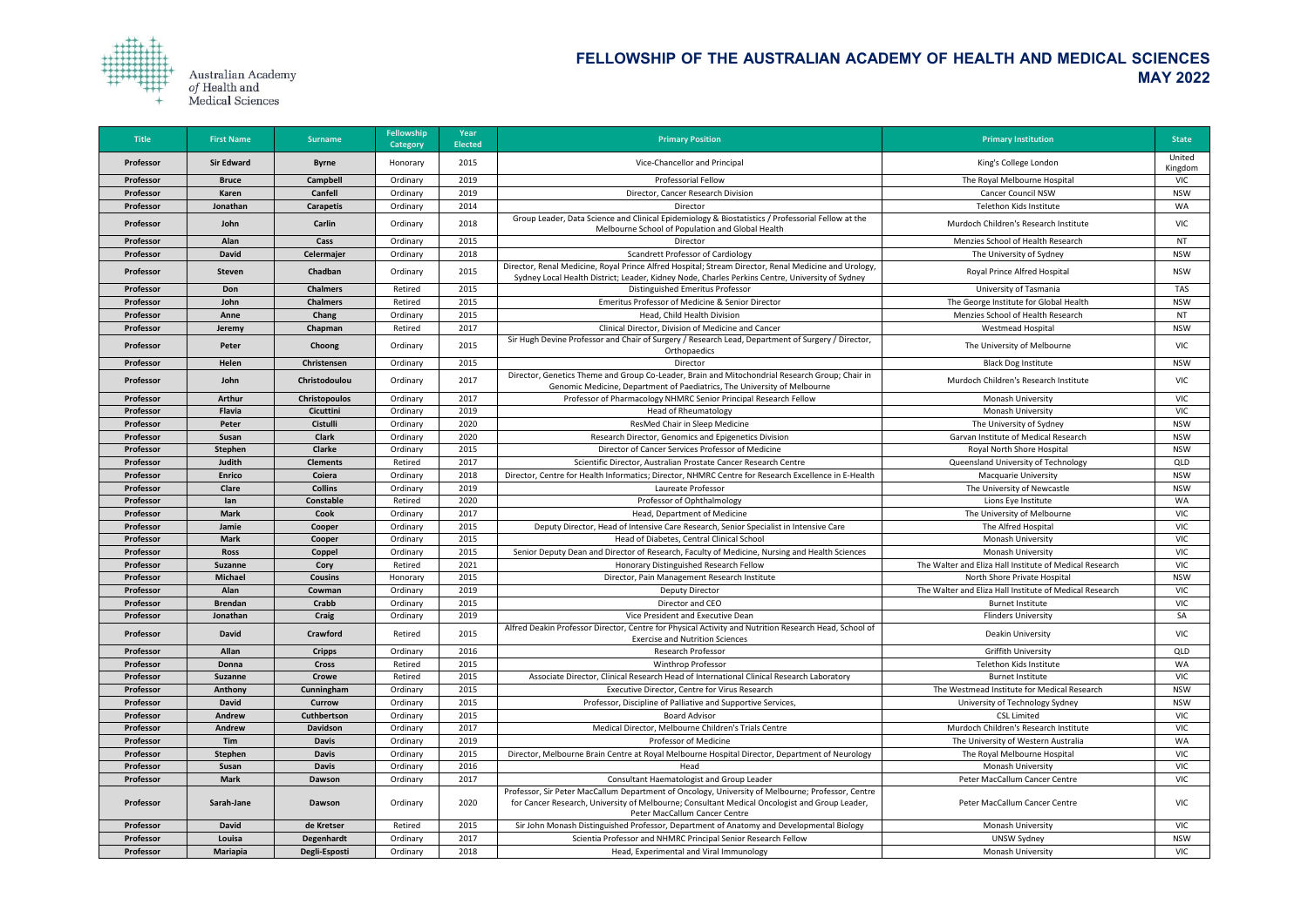

| <b>Title</b> | <b>First Name</b> | <b>Surname</b>       | <b>Fellowship</b><br><b>Category</b> | Year<br><b>Elected</b> | <b>Primary Position</b>                                                                                                                                                                                                             | <b>Primary Institution</b>                              | <b>State</b>      |
|--------------|-------------------|----------------------|--------------------------------------|------------------------|-------------------------------------------------------------------------------------------------------------------------------------------------------------------------------------------------------------------------------------|---------------------------------------------------------|-------------------|
| Professor    | <b>Sir Edward</b> | <b>Byrne</b>         | Honorary                             | 2015                   | Vice-Chancellor and Principal                                                                                                                                                                                                       | King's College London                                   | United<br>Kingdom |
| Professor    | <b>Bruce</b>      | <b>Campbell</b>      | Ordinary                             | 2019                   | Professorial Fellow                                                                                                                                                                                                                 | The Royal Melbourne Hospital                            | <b>VIC</b>        |
| Professor    | <b>Karen</b>      | <b>Canfell</b>       | Ordinary                             | 2019                   | Director, Cancer Research Division                                                                                                                                                                                                  | <b>Cancer Council NSW</b>                               | <b>NSW</b>        |
| Professor    | Jonathan          | <b>Carapetis</b>     | Ordinary                             | 2014                   | <b>Director</b>                                                                                                                                                                                                                     | Telethon Kids Institute                                 | WA                |
| Professor    | John              | Carlin               | Ordinary                             | 2018                   | Group Leader, Data Science and Clinical Epidemiology & Biostatistics / Professorial Fellow at the<br>Melbourne School of Population and Global Health                                                                               | Murdoch Children's Research Institute                   | <b>VIC</b>        |
| Professor    | Alan              | Cass                 | Ordinary                             | 2015                   | Director                                                                                                                                                                                                                            | Menzies School of Health Research                       | NT                |
| Professor    | <b>David</b>      | Celermajer           | Ordinary                             | 2018                   | <b>Scandrett Professor of Cardiology</b>                                                                                                                                                                                            | The University of Sydney                                | <b>NSW</b>        |
| Professor    | Steven            | Chadban              | Ordinary                             | 2015                   | Director, Renal Medicine, Royal Prince Alfred Hospital; Stream Director, Renal Medicine and Urology,<br>Sydney Local Health District; Leader, Kidney Node, Charles Perkins Centre, University of Sydney                             | Royal Prince Alfred Hospital                            | <b>NSW</b>        |
| Professor    | Don               | <b>Chalmers</b>      | Retired                              | 2015                   | Distinguished Emeritus Professor                                                                                                                                                                                                    | University of Tasmania                                  | <b>TAS</b>        |
| Professor    | John              | <b>Chalmers</b>      | Retired                              | 2015                   | Emeritus Professor of Medicine & Senior Director                                                                                                                                                                                    | The George Institute for Global Health                  | <b>NSW</b>        |
| Professor    | Anne              | Chang                | Ordinary                             | 2015                   | Head, Child Health Division                                                                                                                                                                                                         | Menzies School of Health Research                       | NT                |
| Professor    | Jeremy            | Chapman              | Retired                              | 2017                   | Clinical Director, Division of Medicine and Cancer                                                                                                                                                                                  | <b>Westmead Hospital</b>                                | <b>NSW</b>        |
| Professor    | Peter             | Choong               | Ordinary                             | 2015                   | Sir Hugh Devine Professor and Chair of Surgery / Research Lead, Department of Surgery / Director,<br>Orthopaedics                                                                                                                   | The University of Melbourne                             | <b>VIC</b>        |
| Professor    | Helen             | Christensen          | Ordinary                             | 2015                   | Director                                                                                                                                                                                                                            | <b>Black Dog Institute</b>                              | <b>NSW</b>        |
| Professor    | John              | Christodoulou        | Ordinary                             | 2017                   | Director, Genetics Theme and Group Co-Leader, Brain and Mitochondrial Research Group; Chair in<br>Genomic Medicine, Department of Paediatrics, The University of Melbourne                                                          | Murdoch Children's Research Institute                   | VIC               |
| Professor    | <b>Arthur</b>     | <b>Christopoulos</b> | Ordinary                             | 2017                   | Professor of Pharmacology NHMRC Senior Principal Research Fellow                                                                                                                                                                    | <b>Monash University</b>                                | <b>VIC</b>        |
| Professor    | <b>Flavia</b>     | <b>Cicuttini</b>     | Ordinary                             | 2019                   | <b>Head of Rheumatology</b>                                                                                                                                                                                                         | Monash University                                       | <b>VIC</b>        |
| Professor    | Peter             | <b>Cistulli</b>      | Ordinary                             | 2020                   | ResMed Chair in Sleep Medicine                                                                                                                                                                                                      | The University of Sydney                                | <b>NSW</b>        |
| Professor    | Susan             | <b>Clark</b>         | Ordinary                             | 2020                   | Research Director, Genomics and Epigenetics Division                                                                                                                                                                                | Garvan Institute of Medical Research                    | <b>NSW</b>        |
| Professor    | Stephen           | <b>Clarke</b>        | Ordinary                             | 2015                   | Director of Cancer Services Professor of Medicine                                                                                                                                                                                   | Royal North Shore Hospital                              | <b>NSW</b>        |
| Professor    | Judith            | <b>Clements</b>      | Retired                              | 2017                   | Scientific Director, Australian Prostate Cancer Research Centre                                                                                                                                                                     | Queensland University of Technology                     | QLD               |
| Professor    | <b>Enrico</b>     | Coiera               | Ordinary                             | 2018                   | Director, Centre for Health Informatics; Director, NHMRC Centre for Research Excellence in E-Health                                                                                                                                 | <b>Macquarie University</b>                             | <b>NSW</b>        |
| Professor    | <b>Clare</b>      | <b>Collins</b>       | Ordinary                             | 2019                   | Laureate Professor                                                                                                                                                                                                                  | The University of Newcastle                             | <b>NSW</b>        |
| Professor    | lan               | <b>Constable</b>     | Retired                              | 2020                   | Professor of Ophthalmology                                                                                                                                                                                                          | Lions Eye Institute                                     | <b>WA</b>         |
| Professor    | <b>Mark</b>       | <b>Cook</b>          | Ordinary                             | 2017                   | Head, Department of Medicine                                                                                                                                                                                                        | The University of Melbourne                             | <b>VIC</b>        |
| Professor    | Jamie             | Cooper               | Ordinary                             | 2015                   | Deputy Director, Head of Intensive Care Research, Senior Specialist in Intensive Care                                                                                                                                               | The Alfred Hospital                                     | <b>VIC</b>        |
| Professor    | <b>Mark</b>       | Cooper               | Ordinary                             | 2015                   | Head of Diabetes, Central Clinical School                                                                                                                                                                                           | <b>Monash University</b>                                | <b>VIC</b>        |
| Professor    | <b>Ross</b>       | Coppel               | Ordinary                             | 2015                   | Senior Deputy Dean and Director of Research, Faculty of Medicine, Nursing and Health Sciences                                                                                                                                       | <b>Monash University</b>                                | <b>VIC</b>        |
| Professor    | <b>Suzanne</b>    | Cory                 | Retired                              | 2021                   | Honorary Distinguished Research Fellow                                                                                                                                                                                              | The Walter and Eliza Hall Institute of Medical Research | <b>VIC</b>        |
| Professor    | <b>Michael</b>    | <b>Cousins</b>       | Honorary                             | 2015                   | Director, Pain Management Research Institute                                                                                                                                                                                        | North Shore Private Hospital                            | <b>NSW</b>        |
| Professor    | Alan              | Cowman               | Ordinary                             | 2019                   | <b>Deputy Director</b>                                                                                                                                                                                                              | The Walter and Eliza Hall Institute of Medical Research | <b>VIC</b>        |
| Professor    | <b>Brendan</b>    | Crabb                | Ordinary                             | 2015                   | Director and CEO                                                                                                                                                                                                                    | <b>Burnet Institute</b>                                 | <b>VIC</b>        |
| Professor    | Jonathan          | Craig                | Ordinary                             | 2019                   | Vice President and Executive Dean                                                                                                                                                                                                   | <b>Flinders University</b>                              | SA                |
| Professor    | <b>David</b>      | <b>Crawford</b>      | Retired                              | 2015                   | Alfred Deakin Professor Director, Centre for Physical Activity and Nutrition Research Head, School of<br><b>Exercise and Nutrition Sciences</b>                                                                                     | Deakin University                                       | VIC               |
| Professor    | Allan             | <b>Cripps</b>        | Ordinary                             | 2016                   | <b>Research Professor</b>                                                                                                                                                                                                           | <b>Griffith University</b>                              | QLD               |
| Professor    | Donna             | <b>Cross</b>         | Retired                              | 2015                   | <b>Winthrop Professor</b>                                                                                                                                                                                                           | Telethon Kids Institute                                 | WA                |
| Professor    | <b>Suzanne</b>    | <b>Crowe</b>         | Retired                              | 2015                   | Associate Director, Clinical Research Head of International Clinical Research Laboratory                                                                                                                                            | <b>Burnet Institute</b>                                 | <b>VIC</b>        |
| Professor    | Anthony           | Cunningham           | Ordinary                             | 2015                   | Executive Director, Centre for Virus Research                                                                                                                                                                                       | The Westmead Institute for Medical Research             | <b>NSW</b>        |
| Professor    | <b>David</b>      | <b>Currow</b>        | Ordinary                             | 2015                   | Professor, Discipline of Palliative and Supportive Services,                                                                                                                                                                        | University of Technology Sydney                         | <b>NSW</b>        |
| Professor    | Andrew            | Cuthbertson          | Ordinary                             | 2015                   | <b>Board Advisor</b>                                                                                                                                                                                                                | <b>CSL Limited</b>                                      | VIC               |
| Professor    | Andrew            | <b>Davidson</b>      | Ordinary                             | 2017                   | Medical Director, Melbourne Children's Trials Centre                                                                                                                                                                                | Murdoch Children's Research Institute                   | <b>VIC</b>        |
| Professor    | Tim               | <b>Davis</b>         | Ordinary                             | 2019                   | Professor of Medicine                                                                                                                                                                                                               | The University of Western Australia                     | WA                |
| Professor    | <b>Stephen</b>    | <b>Davis</b>         | Ordinary                             | 2015                   | Director, Melbourne Brain Centre at Royal Melbourne Hospital Director, Department of Neurology                                                                                                                                      | The Royal Melbourne Hospital                            | <b>VIC</b>        |
| Professor    | <b>Susan</b>      | <b>Davis</b>         | Ordinary                             | 2016                   | Head                                                                                                                                                                                                                                | <b>Monash University</b>                                | <b>VIC</b>        |
| Professor    | <b>Mark</b>       | <b>Dawson</b>        | Ordinary                             | 2017                   | Consultant Haematologist and Group Leader                                                                                                                                                                                           | Peter MacCallum Cancer Centre                           | <b>VIC</b>        |
| Professor    | Sarah-Jane        | Dawson               | Ordinary                             | 2020                   | Professor, Sir Peter MacCallum Department of Oncology, University of Melbourne; Professor, Centre<br>for Cancer Research, University of Melbourne; Consultant Medical Oncologist and Group Leader,<br>Peter MacCallum Cancer Centre | Peter MacCallum Cancer Centre                           | VIC               |
| Professor    | <b>David</b>      | de Kretser           | Retired                              | 2015                   | Sir John Monash Distinguished Professor, Department of Anatomy and Developmental Biology                                                                                                                                            | <b>Monash University</b>                                | <b>VIC</b>        |
| Professor    | Louisa            | Degenhardt           | Ordinary                             | 2017                   | Scientia Professor and NHMRC Principal Senior Research Fellow                                                                                                                                                                       | <b>UNSW Sydney</b>                                      | <b>NSW</b>        |
| Professor    | <b>Mariapia</b>   | Degli-Esposti        | Ordinary                             | 2018                   | Head, Experimental and Viral Immunology                                                                                                                                                                                             | Monash University                                       | VIC               |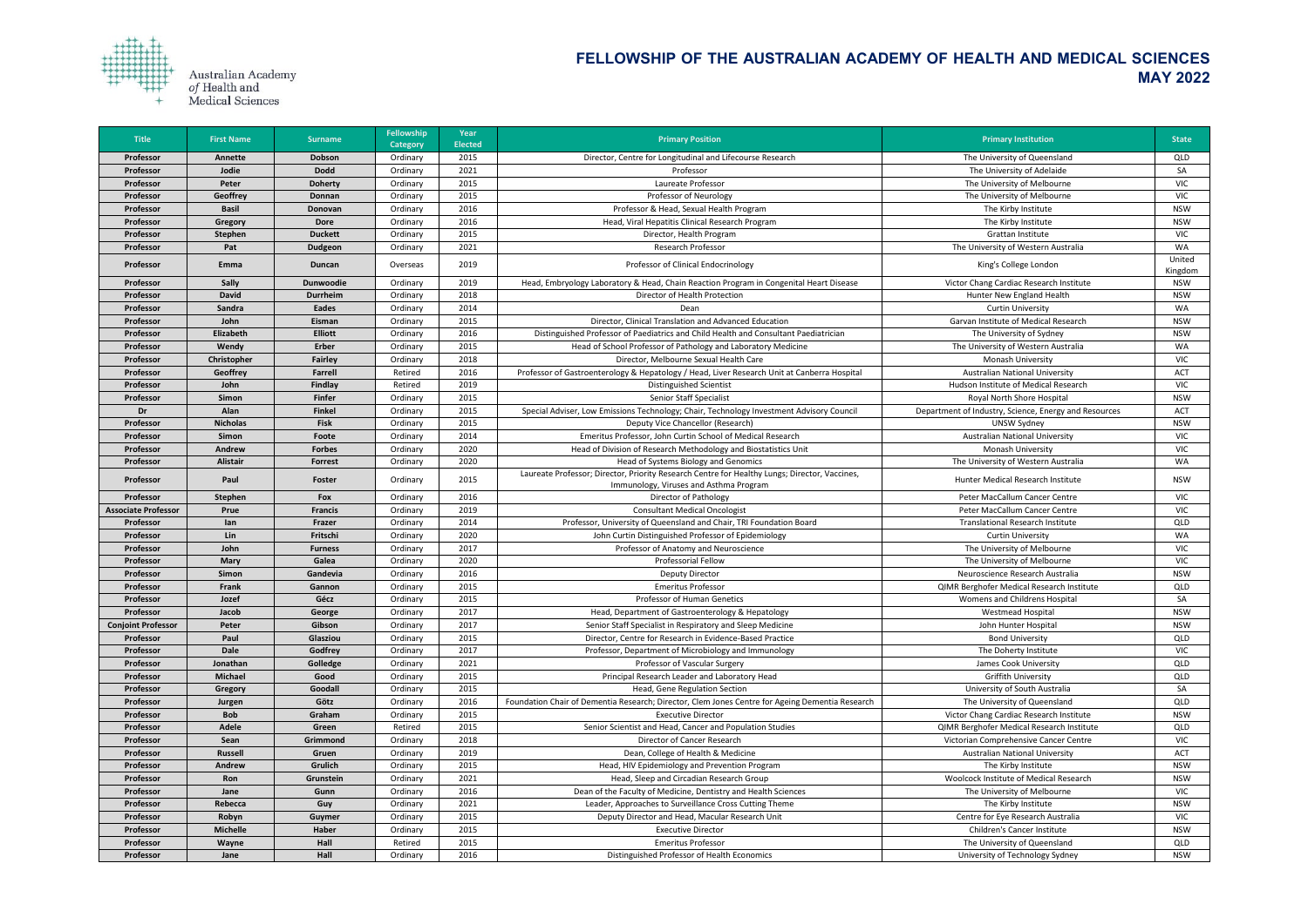

| <b>Title</b>               | <b>First Name</b>         | <b>Surname</b>   | <b>Fellowship</b><br><b>Category</b> | <b>Year</b><br><b>Elected</b> | <b>Primary Position</b>                                                                                                                 | <b>Primary Institution</b>                            | <b>State</b> |
|----------------------------|---------------------------|------------------|--------------------------------------|-------------------------------|-----------------------------------------------------------------------------------------------------------------------------------------|-------------------------------------------------------|--------------|
| Professor                  | Annette                   | <b>Dobson</b>    | Ordinary                             | 2015                          | Director, Centre for Longitudinal and Lifecourse Research                                                                               | The University of Queensland                          | QLD          |
| Professor                  | Jodie                     | <b>Dodd</b>      | Ordinary                             | 2021                          | Professor                                                                                                                               | The University of Adelaide                            | SA           |
| Professor                  | Peter                     | <b>Doherty</b>   | Ordinary                             | 2015                          | Laureate Professor                                                                                                                      | The University of Melbourne                           | <b>VIC</b>   |
| Professor                  | Geoffrey                  | Donnan           | Ordinary                             | 2015                          | Professor of Neurology                                                                                                                  | The University of Melbourne                           | <b>VIC</b>   |
| Professor                  | <b>Basil</b>              | Donovan          | Ordinary                             | 2016                          | Professor & Head, Sexual Health Program                                                                                                 | The Kirby Institute                                   | <b>NSW</b>   |
| Professor                  |                           | <b>Dore</b>      | Ordinary                             | 2016                          | Head, Viral Hepatitis Clinical Research Program                                                                                         | The Kirby Institute                                   | <b>NSW</b>   |
| Professor                  | Gregory<br><b>Stephen</b> | <b>Duckett</b>   | Ordinary                             | 2015                          | Director, Health Program                                                                                                                | Grattan Institute                                     | <b>VIC</b>   |
| Professor                  | Pat                       | <b>Dudgeon</b>   | Ordinary                             | 2021                          | <b>Research Professor</b>                                                                                                               | The University of Western Australia                   | WA           |
|                            |                           |                  |                                      |                               |                                                                                                                                         |                                                       | United       |
| Professor                  | Emma                      | Duncan           | Overseas                             | 2019                          | Professor of Clinical Endocrinology                                                                                                     | King's College London                                 | Kingdom      |
| Professor                  | <b>Sally</b>              | <b>Dunwoodie</b> | Ordinary                             | 2019                          | Head, Embryology Laboratory & Head, Chain Reaction Program in Congenital Heart Disease                                                  | Victor Chang Cardiac Research Institute               | <b>NSW</b>   |
| Professor                  | <b>David</b>              | <b>Durrheim</b>  | Ordinary                             | 2018                          | Director of Health Protection                                                                                                           | Hunter New England Health                             | <b>NSW</b>   |
| Professor                  | Sandra                    | <b>Eades</b>     | Ordinary                             | 2014                          | Dean                                                                                                                                    | <b>Curtin University</b>                              | WA           |
| Professor                  | John                      | Eisman           | Ordinary                             | 2015                          | Director, Clinical Translation and Advanced Education                                                                                   | Garvan Institute of Medical Research                  | <b>NSW</b>   |
| Professor                  | Elizabeth                 | <b>Elliott</b>   | Ordinary                             | 2016                          | Distinguished Professor of Paediatrics and Child Health and Consultant Paediatrician                                                    | The University of Sydney                              | <b>NSW</b>   |
| Professor                  | Wendy                     | <b>Erber</b>     | Ordinary                             | 2015                          | Head of School Professor of Pathology and Laboratory Medicine                                                                           | The University of Western Australia                   | WA           |
| Professor                  | Christopher               | <b>Fairley</b>   | Ordinary                             | 2018                          | Director, Melbourne Sexual Health Care                                                                                                  | Monash University                                     | <b>VIC</b>   |
| Professor                  | <b>Geoffrey</b>           | <b>Farrell</b>   | Retired                              | 2016                          | Professor of Gastroenterology & Hepatology / Head, Liver Research Unit at Canberra Hospital                                             | <b>Australian National University</b>                 | <b>ACT</b>   |
| Professor                  | John                      | <b>Findlay</b>   | Retired                              | 2019                          | <b>Distinguished Scientist</b>                                                                                                          | Hudson Institute of Medical Research                  | <b>VIC</b>   |
| Professor                  | Simon                     | Finfer           | Ordinary                             | 2015                          | <b>Senior Staff Specialist</b>                                                                                                          | Royal North Shore Hospital                            | <b>NSW</b>   |
| Dr                         | Alan                      | <b>Finkel</b>    | Ordinary                             | 2015                          | Special Adviser, Low Emissions Technology; Chair, Technology Investment Advisory Council                                                | Department of Industry, Science, Energy and Resources | ACT          |
| Professor                  | <b>Nicholas</b>           | <b>Fisk</b>      | Ordinary                             | 2015                          | Deputy Vice Chancellor (Research)                                                                                                       | <b>UNSW Sydney</b>                                    | <b>NSW</b>   |
| Professor                  | Simon                     | Foote            | Ordinary                             | 2014                          | Emeritus Professor, John Curtin School of Medical Research                                                                              | <b>Australian National University</b>                 | <b>VIC</b>   |
| Professor                  | Andrew                    | <b>Forbes</b>    | Ordinary                             | 2020                          | Head of Division of Research Methodology and Biostatistics Unit                                                                         | <b>Monash University</b>                              | <b>VIC</b>   |
| Professor                  | <b>Alistair</b>           | <b>Forrest</b>   | Ordinary                             | 2020                          | Head of Systems Biology and Genomics                                                                                                    | The University of Western Australia                   | <b>WA</b>    |
| Professor                  | Paul                      | Foster           | Ordinary                             | 2015                          | Laureate Professor; Director, Priority Research Centre for Healthy Lungs; Director, Vaccines,<br>Immunology, Viruses and Asthma Program | Hunter Medical Research Institute                     | <b>NSW</b>   |
| Professor                  | <b>Stephen</b>            | Fox              | Ordinary                             | 2016                          | Director of Pathology                                                                                                                   | Peter MacCallum Cancer Centre                         | <b>VIC</b>   |
| <b>Associate Professor</b> | Prue                      | <b>Francis</b>   | Ordinary                             | 2019                          | <b>Consultant Medical Oncologist</b>                                                                                                    | Peter MacCallum Cancer Centre                         | <b>VIC</b>   |
| Professor                  | lan                       | Frazer           | Ordinary                             | 2014                          | Professor, University of Queensland and Chair, TRI Foundation Board                                                                     | <b>Translational Research Institute</b>               | QLD          |
| Professor                  | Lin                       | Fritschi         | Ordinary                             | 2020                          | John Curtin Distinguished Professor of Epidemiology                                                                                     | <b>Curtin University</b>                              | WA           |
| Professor                  | John                      | <b>Furness</b>   | Ordinary                             | 2017                          | Professor of Anatomy and Neuroscience                                                                                                   | The University of Melbourne                           | <b>VIC</b>   |
| Professor                  | <b>Mary</b>               | Galea            | Ordinary                             | 2020                          | <b>Professorial Fellow</b>                                                                                                              | The University of Melbourne                           | <b>VIC</b>   |
| Professor                  | <b>Simon</b>              | Gandevia         | Ordinary                             | 2016                          | <b>Deputy Director</b>                                                                                                                  | Neuroscience Research Australia                       | <b>NSW</b>   |
| Professor                  | Frank                     | Gannon           | Ordinary                             | 2015                          | <b>Emeritus Professor</b>                                                                                                               | QIMR Berghofer Medical Research Institute             | QLD          |
| Professor                  | Jozef                     | Gécz             | Ordinary                             | 2015                          | <b>Professor of Human Genetics</b>                                                                                                      | Womens and Childrens Hospital                         | SA           |
| Professor                  | Jacob                     | George           | Ordinary                             | 2017                          | Head, Department of Gastroenterology & Hepatology                                                                                       | <b>Westmead Hospital</b>                              | <b>NSW</b>   |
| <b>Conjoint Professor</b>  | Peter                     | Gibson           | Ordinary                             | 2017                          | Senior Staff Specialist in Respiratory and Sleep Medicine                                                                               | John Hunter Hospital                                  | <b>NSW</b>   |
| Professor                  | Paul                      | Glasziou         | Ordinary                             | 2015                          | Director, Centre for Research in Evidence-Based Practice                                                                                | <b>Bond University</b>                                | QLD          |
| Professor                  | <b>Dale</b>               | Godfrey          | Ordinary                             | 2017                          | Professor, Department of Microbiology and Immunology                                                                                    | The Doherty Institute                                 | <b>VIC</b>   |
| Professor                  | Jonathan                  | Golledge         | Ordinary                             | 2021                          | Professor of Vascular Surgery                                                                                                           | James Cook University                                 | QLD          |
| Professor                  | <b>Michael</b>            | Good             | Ordinary                             | 2015                          | Principal Research Leader and Laboratory Head                                                                                           | <b>Griffith University</b>                            | QLD          |
| Professor                  | Gregory                   | Goodall          | Ordinary                             | 2015                          | Head, Gene Regulation Section                                                                                                           | University of South Australia                         | SA           |
| Professor                  | Jurgen                    | Götz             | Ordinary                             | 2016                          | Foundation Chair of Dementia Research; Director, Clem Jones Centre for Ageing Dementia Research                                         | The University of Queensland                          | <b>QLD</b>   |
| Professor                  | <b>Bob</b>                | Graham           | Ordinary                             | 2015                          | <b>Executive Director</b>                                                                                                               | Victor Chang Cardiac Research Institute               | <b>NSW</b>   |
| Professor                  | <b>Adele</b>              | Green            | Retired                              | 2015                          | Senior Scientist and Head, Cancer and Population Studies                                                                                | QIMR Berghofer Medical Research Institute             | QLD          |
| Professor                  | Sean                      | Grimmond         | Ordinary                             | 2018                          | Director of Cancer Research                                                                                                             | Victorian Comprehensive Cancer Centre                 | <b>VIC</b>   |
| Professor                  | <b>Russell</b>            | Gruen            | Ordinary                             | 2019                          | Dean, College of Health & Medicine                                                                                                      | <b>Australian National University</b>                 | ACT          |
| Professor                  | Andrew                    | Grulich          | Ordinary                             | 2015                          | Head, HIV Epidemiology and Prevention Program                                                                                           | The Kirby Institute                                   | <b>NSW</b>   |
| Professor                  | Ron                       | Grunstein        | Ordinary                             | 2021                          | Head, Sleep and Circadian Research Group                                                                                                | Woolcock Institute of Medical Research                | <b>NSW</b>   |
| Professor                  | Jane                      | Gunn             | Ordinary                             | 2016                          | Dean of the Faculty of Medicine, Dentistry and Health Sciences                                                                          | The University of Melbourne                           | <b>VIC</b>   |
| Professor                  | Rebecca                   | Guy              | Ordinary                             | 2021                          | Leader, Approaches to Surveillance Cross Cutting Theme                                                                                  | The Kirby Institute                                   | <b>NSW</b>   |
| Professor                  | Robyn                     | Guymer           | Ordinary                             | 2015                          | Deputy Director and Head, Macular Research Unit                                                                                         | Centre for Eye Research Australia                     | <b>VIC</b>   |
| Professor                  | <b>Michelle</b>           | <b>Haber</b>     | Ordinary                             | 2015                          | <b>Executive Director</b>                                                                                                               | <b>Children's Cancer Institute</b>                    | <b>NSW</b>   |
| Professor                  | Wayne                     | Hall             | Retired                              | 2015                          | <b>Emeritus Professor</b>                                                                                                               | The University of Queensland                          | QLD          |
| Professor                  | Jane                      | Hall             | Ordinary                             | 2016                          | Distinguished Professor of Health Economics                                                                                             | University of Technology Sydney                       | <b>NSW</b>   |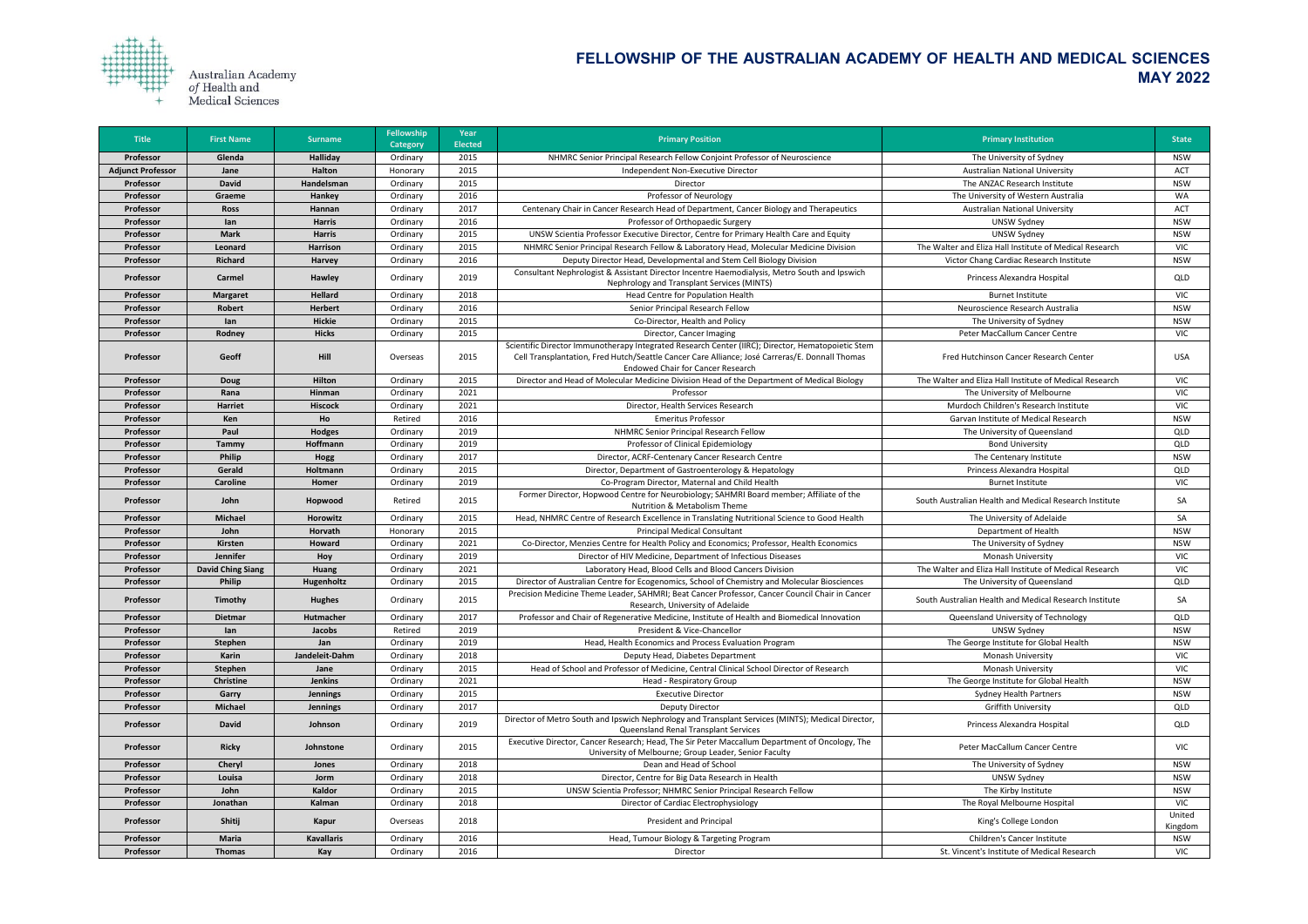

| <b>Title</b>             | <b>First Name</b>        | <b>Surname</b>    | <b>Fellowship</b><br><b>Category</b> | Year<br><b>Elected</b> | <b>Primary Position</b>                                                                                                                                                                                                                         | <b>Primary Institution</b>                              | <b>State</b>      |
|--------------------------|--------------------------|-------------------|--------------------------------------|------------------------|-------------------------------------------------------------------------------------------------------------------------------------------------------------------------------------------------------------------------------------------------|---------------------------------------------------------|-------------------|
| Professor                | Glenda                   | <b>Halliday</b>   | Ordinary                             | 2015                   | NHMRC Senior Principal Research Fellow Conjoint Professor of Neuroscience                                                                                                                                                                       | The University of Sydney                                | <b>NSW</b>        |
| <b>Adjunct Professor</b> | Jane                     | <b>Halton</b>     | Honorary                             | 2015                   | Independent Non-Executive Director                                                                                                                                                                                                              | <b>Australian National University</b>                   | <b>ACT</b>        |
| Professor                | <b>David</b>             | Handelsman        | Ordinary                             | 2015                   | Director                                                                                                                                                                                                                                        | The ANZAC Research Institute                            | <b>NSW</b>        |
| Professor                | Graeme                   | Hankey            | Ordinary                             | 2016                   | Professor of Neurology                                                                                                                                                                                                                          | The University of Western Australia                     | <b>WA</b>         |
| Professor                | <b>Ross</b>              | Hannan            | Ordinary                             | 2017                   | Centenary Chair in Cancer Research Head of Department, Cancer Biology and Therapeutics                                                                                                                                                          | <b>Australian National University</b>                   | <b>ACT</b>        |
| Professor                | lan                      | <b>Harris</b>     | Ordinary                             | 2016                   | Professor of Orthopaedic Surgery                                                                                                                                                                                                                | <b>UNSW Sydney</b>                                      | <b>NSW</b>        |
| Professor                | <b>Mark</b>              | <b>Harris</b>     | Ordinary                             | 2015                   | UNSW Scientia Professor Executive Director, Centre for Primary Health Care and Equity                                                                                                                                                           | UNSW Sydney                                             | <b>NSW</b>        |
| Professor                | Leonard                  | <b>Harrison</b>   | Ordinary                             | 2015                   | NHMRC Senior Principal Research Fellow & Laboratory Head, Molecular Medicine Division                                                                                                                                                           | The Walter and Eliza Hall Institute of Medical Research | <b>VIC</b>        |
| Professor                | <b>Richard</b>           | <b>Harvey</b>     | Ordinary                             | 2016                   | Deputy Director Head, Developmental and Stem Cell Biology Division                                                                                                                                                                              | Victor Chang Cardiac Research Institute                 | <b>NSW</b>        |
| Professor                | <b>Carmel</b>            | <b>Hawley</b>     | Ordinary                             | 2019                   | Consultant Nephrologist & Assistant Director Incentre Haemodialysis, Metro South and Ipswich<br>Nephrology and Transplant Services (MINTS)                                                                                                      | Princess Alexandra Hospital                             | QLD               |
| Professor                | <b>Margaret</b>          | <b>Hellard</b>    | Ordinary                             | 2018                   | Head Centre for Population Health                                                                                                                                                                                                               | <b>Burnet Institute</b>                                 | <b>VIC</b>        |
| Professor                | <b>Robert</b>            | <b>Herbert</b>    | Ordinary                             | 2016                   | Senior Principal Research Fellow                                                                                                                                                                                                                | Neuroscience Research Australia                         | <b>NSW</b>        |
| Professor                | <b>lan</b>               | <b>Hickie</b>     | Ordinary                             | 2015                   | Co-Director, Health and Policy                                                                                                                                                                                                                  | The University of Sydney                                | <b>NSW</b>        |
| Professor                | Rodney                   | <b>Hicks</b>      | Ordinary                             | 2015                   | Director, Cancer Imaging                                                                                                                                                                                                                        | Peter MacCallum Cancer Centre                           | <b>VIC</b>        |
| Professor                | Geoff                    | Hill              | Overseas                             | 2015                   | Scientific Director Immunotherapy Integrated Research Center (IIRC); Director, Hematopoietic Stem<br>Cell Transplantation, Fred Hutch/Seattle Cancer Care Alliance; José Carreras/E. Donnall Thomas<br><b>Endowed Chair for Cancer Research</b> | Fred Hutchinson Cancer Research Center                  | <b>USA</b>        |
| Professor                | <b>Doug</b>              | Hilton            | Ordinary                             | 2015                   | Director and Head of Molecular Medicine Division Head of the Department of Medical Biology                                                                                                                                                      | The Walter and Eliza Hall Institute of Medical Research | <b>VIC</b>        |
| Professor                | Rana                     | Hinman            | Ordinary                             | 2021                   | Professor                                                                                                                                                                                                                                       | The University of Melbourne                             | <b>VIC</b>        |
| Professor                | Harriet                  | <b>Hiscock</b>    | Ordinary                             | 2021                   | Director, Health Services Research                                                                                                                                                                                                              | Murdoch Children's Research Institute                   | <b>VIC</b>        |
| Professor                | Ken                      | Ho                | Retired                              | 2016                   | <b>Emeritus Professor</b>                                                                                                                                                                                                                       | Garvan Institute of Medical Research                    | <b>NSW</b>        |
| Professor                | Paul                     | <b>Hodges</b>     | Ordinary                             | 2019                   | NHMRC Senior Principal Research Fellow                                                                                                                                                                                                          | The University of Queensland                            | QLD               |
| Professor                | <b>Tammy</b>             | Hoffmann          | Ordinary                             | 2019                   | Professor of Clinical Epidemiology                                                                                                                                                                                                              | <b>Bond University</b>                                  | QLD               |
| Professor                | <b>Philip</b>            | Hogg              | Ordinary                             | 2017                   | Director, ACRF-Centenary Cancer Research Centre                                                                                                                                                                                                 | The Centenary Institute                                 | <b>NSW</b>        |
| Professor                | Gerald                   | Holtmann          | Ordinary                             | 2015                   | Director, Department of Gastroenterology & Hepatology                                                                                                                                                                                           | Princess Alexandra Hospital                             | QLD               |
| Professor                | <b>Caroline</b>          | Homer             | Ordinary                             | 2019                   | Co-Program Director, Maternal and Child Health                                                                                                                                                                                                  | <b>Burnet Institute</b>                                 | <b>VIC</b>        |
| Professor                | John                     | Hopwood           | Retired                              | 2015                   | Former Director, Hopwood Centre for Neurobiology; SAHMRI Board member; Affiliate of the<br><b>Nutrition &amp; Metabolism Theme</b>                                                                                                              | South Australian Health and Medical Research Institute  | SA                |
| Professor                | <b>Michael</b>           | <b>Horowitz</b>   | Ordinary                             | 2015                   | Head, NHMRC Centre of Research Excellence in Translating Nutritional Science to Good Health                                                                                                                                                     | The University of Adelaide                              | SA                |
| Professor                | John                     | Horvath           | Honorary                             | 2015                   | <b>Principal Medical Consultant</b>                                                                                                                                                                                                             | Department of Health                                    | <b>NSW</b>        |
| Professor                | <b>Kirsten</b>           | Howard            | Ordinary                             | 2021                   | Co-Director, Menzies Centre for Health Policy and Economics; Professor, Health Economics                                                                                                                                                        | The University of Sydney                                | <b>NSW</b>        |
| Professor                | <b>Jennifer</b>          | Hoy               | Ordinary                             | 2019                   | Director of HIV Medicine, Department of Infectious Diseases                                                                                                                                                                                     | <b>Monash University</b>                                | <b>VIC</b>        |
| Professor                | <b>David Ching Siang</b> | <b>Huang</b>      | Ordinary                             | 2021                   | Laboratory Head, Blood Cells and Blood Cancers Division                                                                                                                                                                                         | The Walter and Eliza Hall Institute of Medical Research | <b>VIC</b>        |
| Professor                | <b>Philip</b>            | Hugenholtz        | Ordinary                             | 2015                   | Director of Australian Centre for Ecogenomics, School of Chemistry and Molecular Biosciences                                                                                                                                                    | The University of Queensland                            | QLD               |
| Professor                | Timothy                  | <b>Hughes</b>     | Ordinary                             | 2015                   | Precision Medicine Theme Leader, SAHMRI; Beat Cancer Professor, Cancer Council Chair in Cancer<br>Research, University of Adelaide                                                                                                              | South Australian Health and Medical Research Institute  | SA                |
| Professor                | <b>Dietmar</b>           | <b>Hutmacher</b>  | Ordinary                             | 2017                   | Professor and Chair of Regenerative Medicine, Institute of Health and Biomedical Innovation                                                                                                                                                     | Queensland University of Technology                     | QLD               |
| Professor                | lan                      | <b>Jacobs</b>     | Retired                              | 2019                   | President & Vice-Chancellor                                                                                                                                                                                                                     | <b>UNSW Sydney</b>                                      | <b>NSW</b>        |
| Professor                | <b>Stephen</b>           | Jan               | Ordinary                             | 2019                   | Head, Health Economics and Process Evaluation Program                                                                                                                                                                                           | The George Institute for Global Health                  | NSW               |
| Professor                | Karin                    | Jandeleit-Dahm    | Ordinary                             | 2018                   | Deputy Head, Diabetes Department                                                                                                                                                                                                                | <b>Monash University</b>                                | <b>VIC</b>        |
| Professor                | <b>Stephen</b>           | Jane              | Ordinary                             | 2015                   | Head of School and Professor of Medicine, Central Clinical School Director of Research                                                                                                                                                          | <b>Monash University</b>                                | <b>VIC</b>        |
| Professor                | <b>Christine</b>         | <b>Jenkins</b>    | Ordinary                             | 2021                   | Head - Respiratory Group                                                                                                                                                                                                                        | The George Institute for Global Health                  | <b>NSW</b>        |
| Professor                | Garry                    | <b>Jennings</b>   | Ordinary                             | 2015                   | <b>Executive Director</b>                                                                                                                                                                                                                       | <b>Sydney Health Partners</b>                           | <b>NSW</b>        |
| Professor                | <b>Michael</b>           | <b>Jennings</b>   | Ordinary                             | 2017                   | <b>Deputy Director</b>                                                                                                                                                                                                                          | <b>Griffith University</b>                              | QLD               |
| Professor                | <b>David</b>             | Johnson           | Ordinary                             | 2019                   | Director of Metro South and Ipswich Nephrology and Transplant Services (MINTS); Medical Director,<br>Queensland Renal Transplant Services                                                                                                       | Princess Alexandra Hospital                             | QLD               |
| Professor                | <b>Ricky</b>             | Johnstone         | Ordinary                             | 2015                   | Executive Director, Cancer Research; Head, The Sir Peter Maccallum Department of Oncology, The<br>University of Melbourne; Group Leader, Senior Faculty                                                                                         | Peter MacCallum Cancer Centre                           | <b>VIC</b>        |
| Professor                | Cheryl                   | <b>Jones</b>      | Ordinary                             | 2018                   | Dean and Head of School                                                                                                                                                                                                                         | The University of Sydney                                | <b>NSW</b>        |
| Professor                | Louisa                   | Jorm              | Ordinary                             | 2018                   | Director, Centre for Big Data Research in Health                                                                                                                                                                                                | <b>UNSW Sydney</b>                                      | <b>NSW</b>        |
| Professor                | John                     | Kaldor            | Ordinary                             | 2015                   | UNSW Scientia Professor; NHMRC Senior Principal Research Fellow                                                                                                                                                                                 | The Kirby Institute                                     | <b>NSW</b>        |
| Professor                | Jonathan                 | <b>Kalman</b>     | Ordinary                             | 2018                   | Director of Cardiac Electrophysiology                                                                                                                                                                                                           | The Royal Melbourne Hospital                            | <b>VIC</b>        |
| Professor                | Shitij                   | Kapur             | Overseas                             | 2018                   | <b>President and Principal</b>                                                                                                                                                                                                                  | King's College London                                   | United<br>Kingdom |
| Professor                | <b>Maria</b>             | <b>Kavallaris</b> | Ordinary                             | 2016                   | Head, Tumour Biology & Targeting Program                                                                                                                                                                                                        | Children's Cancer Institute                             | NSW               |
| Professor                | <b>Thomas</b>            | Kay               | Ordinary                             | 2016                   | Director                                                                                                                                                                                                                                        | St. Vincent's Institute of Medical Research             | VIC               |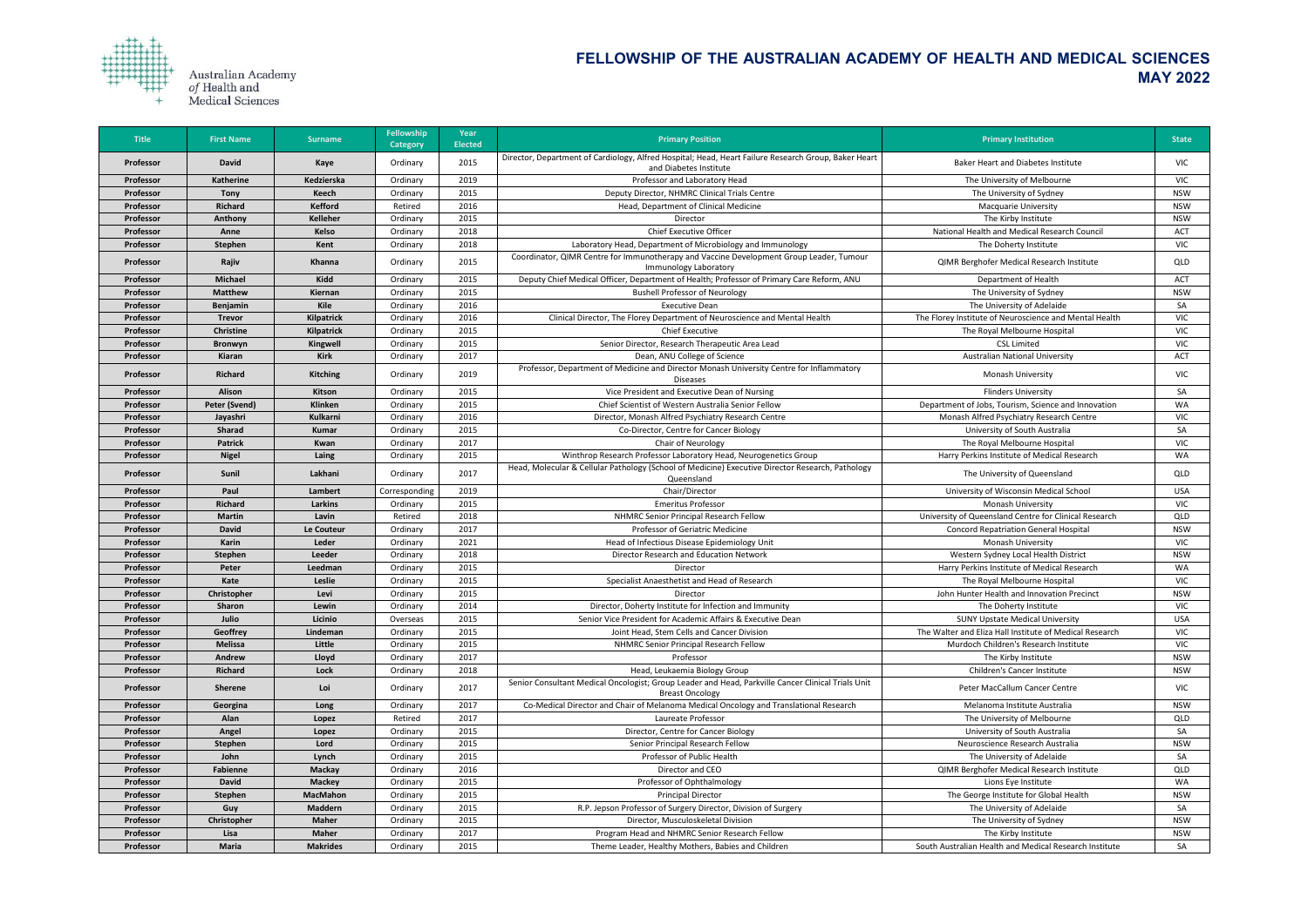

| <b>Title</b> | <b>First Name</b>    | <b>Surname</b>    | <b>Fellowship</b><br>Category | Year<br><b>Elected</b> | <b>Primary Position</b>                                                                                                        | <b>Primary Institution</b>                              | <b>State</b> |
|--------------|----------------------|-------------------|-------------------------------|------------------------|--------------------------------------------------------------------------------------------------------------------------------|---------------------------------------------------------|--------------|
| Professor    | <b>David</b>         | <b>Kaye</b>       | Ordinary                      | 2015                   | Director, Department of Cardiology, Alfred Hospital; Head, Heart Failure Research Group, Baker Heart<br>and Diabetes Institute | <b>Baker Heart and Diabetes Institute</b>               | <b>VIC</b>   |
| Professor    | <b>Katherine</b>     | Kedzierska        | Ordinary                      | 2019                   | Professor and Laboratory Head                                                                                                  | The University of Melbourne                             | <b>VIC</b>   |
| Professor    | <b>Tony</b>          | Keech             | Ordinary                      | 2015                   | Deputy Director, NHMRC Clinical Trials Centre                                                                                  | The University of Sydney                                | <b>NSW</b>   |
| Professor    | <b>Richard</b>       | <b>Kefford</b>    | Retired                       | 2016                   | Head, Department of Clinical Medicine                                                                                          | <b>Macquarie University</b>                             | <b>NSW</b>   |
| Professor    | Anthony              | <b>Kelleher</b>   | Ordinary                      | 2015                   | Director                                                                                                                       | The Kirby Institute                                     | <b>NSW</b>   |
| Professor    | Anne                 | <b>Kelso</b>      | Ordinary                      | 2018                   | <b>Chief Executive Officer</b>                                                                                                 | National Health and Medical Research Council            | <b>ACT</b>   |
| Professor    | <b>Stephen</b>       | Kent              | Ordinary                      | 2018                   | Laboratory Head, Department of Microbiology and Immunology                                                                     | The Doherty Institute                                   | <b>VIC</b>   |
| Professor    | Rajiv                | <b>Khanna</b>     | Ordinary                      | 2015                   | Coordinator, QIMR Centre for Immunotherapy and Vaccine Development Group Leader, Tumour<br>Immunology Laboratory               | QIMR Berghofer Medical Research Institute               | QLD          |
| Professor    | <b>Michael</b>       | Kidd              | Ordinary                      | 2015                   | Deputy Chief Medical Officer, Department of Health; Professor of Primary Care Reform, ANU                                      | Department of Health                                    | <b>ACT</b>   |
| Professor    | <b>Matthew</b>       | Kiernan           | Ordinary                      | 2015                   | <b>Bushell Professor of Neurology</b>                                                                                          | The University of Sydney                                | <b>NSW</b>   |
| Professor    | Benjamin             | Kile              | Ordinary                      | 2016                   | <b>Executive Dean</b>                                                                                                          | The University of Adelaide                              | SA           |
| Professor    | <b>Trevor</b>        | Kilpatrick        | Ordinary                      | 2016                   | Clinical Director, The Florey Department of Neuroscience and Mental Health                                                     | The Florey Institute of Neuroscience and Mental Health  | <b>VIC</b>   |
| Professor    | <b>Christine</b>     | <b>Kilpatrick</b> | Ordinary                      | 2015                   | <b>Chief Executive</b>                                                                                                         | The Royal Melbourne Hospital                            | <b>VIC</b>   |
| Professor    | Bronwyn              | <b>Kingwell</b>   | Ordinary                      | 2015                   | Senior Director, Research Therapeutic Area Lead                                                                                | <b>CSL Limited</b>                                      | <b>VIC</b>   |
| Professor    | Kiaran               | <b>Kirk</b>       | Ordinary                      | 2017                   | Dean, ANU College of Science                                                                                                   | <b>Australian National University</b>                   | <b>ACT</b>   |
| Professor    | <b>Richard</b>       | <b>Kitching</b>   | Ordinary                      | 2019                   | Professor, Department of Medicine and Director Monash University Centre for Inflammatory<br><b>Diseases</b>                    | <b>Monash University</b>                                | <b>VIC</b>   |
| Professor    | <b>Alison</b>        | Kitson            | Ordinary                      | 2015                   | Vice President and Executive Dean of Nursing                                                                                   | <b>Flinders University</b>                              | SA           |
| Professor    | <b>Peter (Svend)</b> | <b>Klinken</b>    | Ordinary                      | 2015                   | Chief Scientist of Western Australia Senior Fellow                                                                             | Department of Jobs, Tourism, Science and Innovation     | <b>WA</b>    |
| Professor    | Jayashri             | Kulkarni          | Ordinary                      | 2016                   | Director, Monash Alfred Psychiatry Research Centre                                                                             | Monash Alfred Psychiatry Research Centre                | <b>VIC</b>   |
| Professor    | <b>Sharad</b>        | <b>Kumar</b>      | Ordinary                      | 2015                   | Co-Director, Centre for Cancer Biology                                                                                         | University of South Australia                           | SA           |
| Professor    | <b>Patrick</b>       | Kwan              | Ordinary                      | 2017                   | <b>Chair of Neurology</b>                                                                                                      | The Royal Melbourne Hospital                            | <b>VIC</b>   |
| Professor    | <b>Nigel</b>         | Laing             | Ordinary                      | 2015                   | Winthrop Research Professor Laboratory Head, Neurogenetics Group                                                               | Harry Perkins Institute of Medical Research             | <b>WA</b>    |
| Professor    | Sunil                | Lakhani           | Ordinary                      | 2017                   | Head, Molecular & Cellular Pathology (School of Medicine) Executive Director Research, Pathology<br>Queensland                 | The University of Queensland                            | QLD          |
| Professor    | Paul                 | Lambert           | Corresponding                 | 2019                   | Chair/Director                                                                                                                 | University of Wisconsin Medical School                  | <b>USA</b>   |
| Professor    | <b>Richard</b>       | <b>Larkins</b>    | Ordinary                      | 2015                   | <b>Emeritus Professor</b>                                                                                                      | Monash University                                       | <b>VIC</b>   |
| Professor    | <b>Martin</b>        | Lavin             | Retired                       | 2018                   | NHMRC Senior Principal Research Fellow                                                                                         | University of Queensland Centre for Clinical Research   | QLD          |
| Professor    | <b>David</b>         | Le Couteur        | Ordinary                      | 2017                   | Professor of Geriatric Medicine                                                                                                | <b>Concord Repatriation General Hospital</b>            | <b>NSW</b>   |
| Professor    | Karin                | Leder             | Ordinary                      | 2021                   | Head of Infectious Disease Epidemiology Unit                                                                                   | <b>Monash University</b>                                | <b>VIC</b>   |
| Professor    | Stephen              | Leeder            | Ordinary                      | 2018                   | Director Research and Education Network                                                                                        | Western Sydney Local Health District                    | <b>NSW</b>   |
| Professor    | Peter                | Leedman           | Ordinary                      | 2015                   | Director                                                                                                                       | Harry Perkins Institute of Medical Research             | WA           |
| Professor    | Kate                 | Leslie            | Ordinary                      | 2015                   | Specialist Anaesthetist and Head of Research                                                                                   | The Royal Melbourne Hospital                            | <b>VIC</b>   |
| Professor    | Christopher          | Levi              | Ordinary                      | 2015                   | Director                                                                                                                       | John Hunter Health and Innovation Precinct              | <b>NSW</b>   |
| Professor    | <b>Sharon</b>        | Lewin             | Ordinary                      | 2014                   | Director, Doherty Institute for Infection and Immunity                                                                         | The Doherty Institute                                   | <b>VIC</b>   |
| Professor    | Julio                | Licinio           | Overseas                      | 2015                   | Senior Vice President for Academic Affairs & Executive Dean                                                                    | <b>SUNY Upstate Medical University</b>                  | <b>USA</b>   |
| Professor    | <b>Geoffrey</b>      | Lindeman          | Ordinary                      | 2015                   | Joint Head, Stem Cells and Cancer Division                                                                                     | The Walter and Eliza Hall Institute of Medical Research | <b>VIC</b>   |
| Professor    | <b>Melissa</b>       | Little            | Ordinary                      | 2015                   | NHMRC Senior Principal Research Fellow                                                                                         | Murdoch Children's Research Institute                   | <b>VIC</b>   |
| Professor    | Andrew               | Lloyd             | Ordinary                      | 2017                   | Professor                                                                                                                      | The Kirby Institute                                     | <b>NSW</b>   |
| Professor    | <b>Richard</b>       | Lock              | Ordinary                      | 2018                   | Head, Leukaemia Biology Group                                                                                                  | Children's Cancer Institute                             | <b>NSW</b>   |
| Professor    | <b>Sherene</b>       | Loi               | Ordinary                      | 2017                   | Senior Consultant Medical Oncologist; Group Leader and Head, Parkville Cancer Clinical Trials Unit<br><b>Breast Oncology</b>   | Peter MacCallum Cancer Centre                           | <b>VIC</b>   |
| Professor    | Georgina             | Long              | Ordinary                      | 2017                   | Co-Medical Director and Chair of Melanoma Medical Oncology and Translational Research                                          | Melanoma Institute Australia                            | <b>NSW</b>   |
| Professor    | Alan                 | Lopez             | Retired                       | 2017                   | Laureate Professor                                                                                                             | The University of Melbourne                             | QLD          |
| Professor    | Angel                | Lopez             | Ordinary                      | 2015                   | Director, Centre for Cancer Biology                                                                                            | University of South Australia                           | SA           |
| Professor    | Stephen              | Lord              | Ordinary                      | 2015                   | Senior Principal Research Fellow                                                                                               | Neuroscience Research Australia                         | <b>NSW</b>   |
| Professor    | John                 | Lynch             | Ordinary                      | 2015                   | Professor of Public Health                                                                                                     | The University of Adelaide                              | SA           |
| Professor    | <b>Fabienne</b>      | <b>Mackay</b>     | Ordinary                      | 2016                   | Director and CEO                                                                                                               | QIMR Berghofer Medical Research Institute               | QLD          |
| Professor    | <b>David</b>         | <b>Mackey</b>     | Ordinary                      | 2015                   | Professor of Ophthalmology                                                                                                     | Lions Eye Institute                                     | <b>WA</b>    |
| Professor    | <b>Stephen</b>       | <b>MacMahon</b>   | Ordinary                      | 2015                   | <b>Principal Director</b>                                                                                                      | The George Institute for Global Health                  | <b>NSW</b>   |
| Professor    | Guy                  | <b>Maddern</b>    | Ordinary                      | 2015                   | R.P. Jepson Professor of Surgery Director, Division of Surgery                                                                 | The University of Adelaide                              | SA           |
| Professor    | Christopher          | <b>Maher</b>      | Ordinary                      | 2015                   | Director, Musculoskeletal Division                                                                                             | The University of Sydney                                | <b>NSW</b>   |
| Professor    | Lisa                 | <b>Maher</b>      | Ordinary                      | 2017                   | Program Head and NHMRC Senior Research Fellow                                                                                  | The Kirby Institute                                     | <b>NSW</b>   |
| Professor    | <b>Maria</b>         | <b>Makrides</b>   | Ordinary                      | 2015                   | Theme Leader, Healthy Mothers, Babies and Children                                                                             | South Australian Health and Medical Research Institute  | SA           |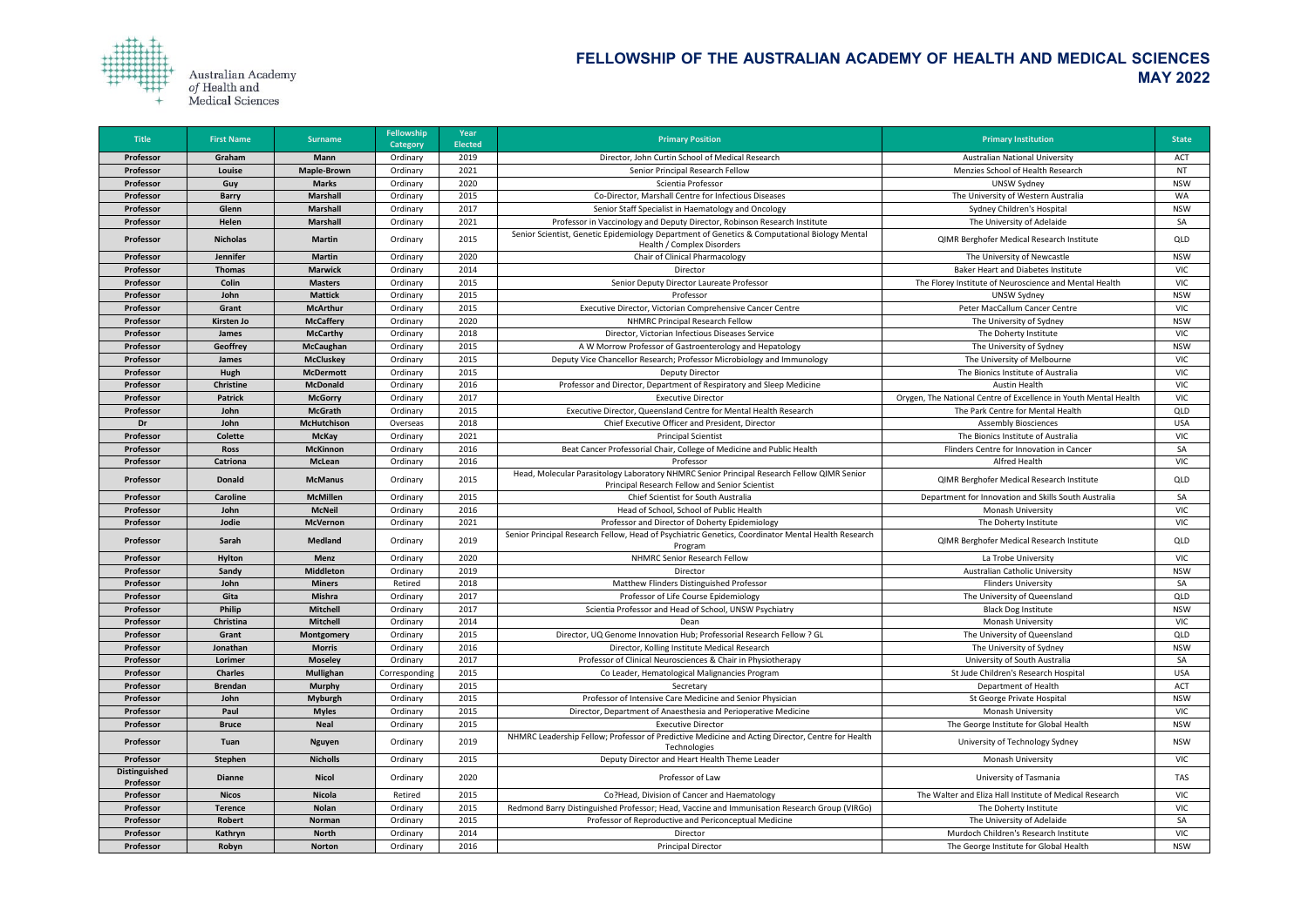

| <b>Title</b>                      | <b>First Name</b> | <b>Surname</b>     | <b>Fellowship</b><br><b>Category</b> | Year<br><b>Elected</b> | <b>Primary Position</b>                                                                                                                      | <b>Primary Institution</b>                                       | <b>State</b> |
|-----------------------------------|-------------------|--------------------|--------------------------------------|------------------------|----------------------------------------------------------------------------------------------------------------------------------------------|------------------------------------------------------------------|--------------|
| Professor                         | Graham            | <b>Mann</b>        | Ordinary                             | 2019                   | Director, John Curtin School of Medical Research                                                                                             | <b>Australian National University</b>                            | <b>ACT</b>   |
| Professor                         | Louise            | <b>Maple-Brown</b> | Ordinary                             | 2021                   | Senior Principal Research Fellow                                                                                                             | Menzies School of Health Research                                | <b>NT</b>    |
| Professor                         | Guy               | <b>Marks</b>       | Ordinary                             | 2020                   | Scientia Professor                                                                                                                           | <b>UNSW Sydney</b>                                               | <b>NSW</b>   |
| Professor                         | <b>Barry</b>      | <b>Marshall</b>    | Ordinary                             | 2015                   | Co-Director, Marshall Centre for Infectious Diseases                                                                                         | The University of Western Australia                              | WA           |
| Professor                         | Glenn             | <b>Marshall</b>    | Ordinary                             | 2017                   | Senior Staff Specialist in Haematology and Oncology                                                                                          | Sydney Children's Hospital                                       | <b>NSW</b>   |
| Professor                         | Helen             | <b>Marshall</b>    | Ordinary                             | 2021                   | Professor in Vaccinology and Deputy Director, Robinson Research Institute                                                                    | The University of Adelaide                                       | SA           |
| Professor                         | <b>Nicholas</b>   | <b>Martin</b>      | Ordinary                             | 2015                   | Senior Scientist, Genetic Epidemiology Department of Genetics & Computational Biology Mental<br>Health / Complex Disorders                   | QIMR Berghofer Medical Research Institute                        | QLD          |
| Professor                         | Jennifer          | <b>Martin</b>      | Ordinary                             | 2020                   | <b>Chair of Clinical Pharmacology</b>                                                                                                        | The University of Newcastle                                      | <b>NSW</b>   |
| Professor                         | <b>Thomas</b>     | <b>Marwick</b>     | Ordinary                             | 2014                   | Director                                                                                                                                     | <b>Baker Heart and Diabetes Institute</b>                        | <b>VIC</b>   |
| Professor                         | Colin             | <b>Masters</b>     | Ordinary                             | 2015                   | Senior Deputy Director Laureate Professor                                                                                                    | The Florey Institute of Neuroscience and Mental Health           | <b>VIC</b>   |
| Professor                         | John              | <b>Mattick</b>     | Ordinary                             | 2015                   | Professor                                                                                                                                    | <b>UNSW Sydney</b>                                               | <b>NSW</b>   |
| Professor                         | Grant             | <b>McArthur</b>    | Ordinary                             | 2015                   | Executive Director, Victorian Comprehensive Cancer Centre                                                                                    | Peter MacCallum Cancer Centre                                    | <b>VIC</b>   |
| Professor                         | <b>Kirsten Jo</b> | <b>McCaffery</b>   | Ordinary                             | 2020                   | NHMRC Principal Research Fellow                                                                                                              | The University of Sydney                                         | <b>NSW</b>   |
| Professor                         | <b>James</b>      | <b>McCarthy</b>    | Ordinary                             | 2018                   | Director, Victorian Infectious Diseases Service                                                                                              | The Doherty Institute                                            | <b>VIC</b>   |
| Professor                         | Geoffrey          | <b>McCaughan</b>   | Ordinary                             | 2015                   | A W Morrow Professor of Gastroenterology and Hepatology                                                                                      | The University of Sydney                                         | <b>NSW</b>   |
| Professor                         | James             | <b>McCluskey</b>   | Ordinary                             | 2015                   | Deputy Vice Chancellor Research; Professor Microbiology and Immunology                                                                       | The University of Melbourne                                      | <b>VIC</b>   |
| Professor                         | Hugh              | <b>McDermott</b>   | Ordinary                             | 2015                   | <b>Deputy Director</b>                                                                                                                       | The Bionics Institute of Australia                               | <b>VIC</b>   |
| Professor                         | <b>Christine</b>  | <b>McDonald</b>    | Ordinary                             | 2016                   | Professor and Director, Department of Respiratory and Sleep Medicine                                                                         | <b>Austin Health</b>                                             | <b>VIC</b>   |
| Professor                         | <b>Patrick</b>    | <b>McGorry</b>     | Ordinary                             | 2017                   | <b>Executive Director</b>                                                                                                                    | Orygen, The National Centre of Excellence in Youth Mental Health | <b>VIC</b>   |
| Professor                         | John              | <b>McGrath</b>     | Ordinary                             | 2015                   | Executive Director, Queensland Centre for Mental Health Research                                                                             | The Park Centre for Mental Health                                | QLD          |
| Dr                                | John              | <b>McHutchison</b> | Overseas                             | 2018                   | Chief Executive Officer and President, Director                                                                                              | <b>Assembly Biosciences</b>                                      | <b>USA</b>   |
| Professor                         | Colette           | <b>McKay</b>       | Ordinary                             | 2021                   | <b>Principal Scientist</b>                                                                                                                   | The Bionics Institute of Australia                               | <b>VIC</b>   |
| Professor                         | <b>Ross</b>       | <b>McKinnon</b>    | Ordinary                             | 2016                   | Beat Cancer Professorial Chair, College of Medicine and Public Health                                                                        | Flinders Centre for Innovation in Cancer                         | SA           |
| Professor                         | <b>Catriona</b>   | <b>McLean</b>      | Ordinary                             | 2016                   | Professor                                                                                                                                    | <b>Alfred Health</b>                                             | <b>VIC</b>   |
| Professor                         | <b>Donald</b>     | <b>McManus</b>     | Ordinary                             | 2015                   | Head, Molecular Parasitology Laboratory NHMRC Senior Principal Research Fellow QIMR Senior<br>Principal Research Fellow and Senior Scientist | QIMR Berghofer Medical Research Institute                        | QLD          |
| Professor                         | <b>Caroline</b>   | <b>McMillen</b>    | Ordinary                             | 2015                   | Chief Scientist for South Australia                                                                                                          | Department for Innovation and Skills South Australia             | SA           |
| Professor                         | John              | <b>McNeil</b>      | Ordinary                             | 2016                   | Head of School, School of Public Health                                                                                                      | <b>Monash University</b>                                         | <b>VIC</b>   |
| Professor                         | Jodie             | <b>McVernon</b>    | Ordinary                             | 2021                   | Professor and Director of Doherty Epidemiology                                                                                               | The Doherty Institute                                            | <b>VIC</b>   |
| Professor                         | Sarah             | <b>Medland</b>     | Ordinary                             | 2019                   | Senior Principal Research Fellow, Head of Psychiatric Genetics, Coordinator Mental Health Research<br>Program                                | QIMR Berghofer Medical Research Institute                        | QLD          |
| Professor                         | Hylton            | <b>Menz</b>        | Ordinary                             | 2020                   | NHMRC Senior Research Fellow                                                                                                                 | La Trobe University                                              | <b>VIC</b>   |
| Professor                         | Sandy             | <b>Middleton</b>   | Ordinary                             | 2019                   | Director                                                                                                                                     | <b>Australian Catholic University</b>                            | <b>NSW</b>   |
| Professor                         | John              | <b>Miners</b>      | Retired                              | 2018                   | Matthew Flinders Distinguished Professor                                                                                                     | <b>Flinders University</b>                                       | SA           |
| Professor                         | Gita              | <b>Mishra</b>      | Ordinary                             | 2017                   | Professor of Life Course Epidemiology                                                                                                        | The University of Queensland                                     | QLD          |
| Professor                         | Philip            | <b>Mitchell</b>    | Ordinary                             | 2017                   | Scientia Professor and Head of School, UNSW Psychiatry                                                                                       | <b>Black Dog Institute</b>                                       | <b>NSW</b>   |
| Professor                         | Christina         | <b>Mitchell</b>    | Ordinary                             | 2014                   | Dean                                                                                                                                         | <b>Monash University</b>                                         | <b>VIC</b>   |
| Professor                         | Grant             | <b>Montgomery</b>  | Ordinary                             | 2015                   | Director, UQ Genome Innovation Hub; Professorial Research Fellow ? GL                                                                        | The University of Queensland                                     | QLD          |
| Professor                         | Jonathan          | <b>Morris</b>      | Ordinary                             | 2016                   | Director, Kolling Institute Medical Research                                                                                                 | The University of Sydney                                         | <b>NSW</b>   |
| Professor                         | Lorimer           | <b>Moseley</b>     | Ordinary                             | 2017                   | Professor of Clinical Neurosciences & Chair in Physiotherapy                                                                                 | University of South Australia                                    | SA           |
| Professor                         | <b>Charles</b>    | <b>Mullighan</b>   | Corresponding                        | 2015                   | Co Leader, Hematological Malignancies Program                                                                                                | St Jude Children's Research Hospital                             | <b>USA</b>   |
| Professor                         | <b>Brendan</b>    | <b>Murphy</b>      | Ordinary                             | 2015                   | Secretary                                                                                                                                    | Department of Health                                             | <b>ACT</b>   |
| Professor                         | John              | <b>Myburgh</b>     | Ordinary                             | 2015                   | Professor of Intensive Care Medicine and Senior Physician                                                                                    | St George Private Hospital                                       | <b>NSW</b>   |
| Professor                         | Paul              | <b>Myles</b>       | Ordinary                             | 2015                   | Director, Department of Anaesthesia and Perioperative Medicine                                                                               | <b>Monash University</b>                                         | <b>VIC</b>   |
| Professor                         | <b>Bruce</b>      | <b>Neal</b>        | Ordinary                             | 2015                   | <b>Executive Director</b>                                                                                                                    | The George Institute for Global Health                           | <b>NSW</b>   |
| Professor                         | Tuan              | <b>Nguyen</b>      | Ordinary                             | 2019                   | NHMRC Leadership Fellow; Professor of Predictive Medicine and Acting Director, Centre for Health<br>Technologies                             | University of Technology Sydney                                  | <b>NSW</b>   |
| Professor                         | Stephen           | <b>Nicholls</b>    | Ordinary                             | 2015                   | Deputy Director and Heart Health Theme Leader                                                                                                | <b>Monash University</b>                                         | <b>VIC</b>   |
| <b>Distinguished</b><br>Professor | <b>Dianne</b>     | <b>Nicol</b>       | Ordinary                             | 2020                   | Professor of Law                                                                                                                             | University of Tasmania                                           | TAS          |
| Professor                         | <b>Nicos</b>      | <b>Nicola</b>      | Retired                              | 2015                   | Co?Head, Division of Cancer and Haematology                                                                                                  | The Walter and Eliza Hall Institute of Medical Research          | <b>VIC</b>   |
| Professor                         | <b>Terence</b>    | <b>Nolan</b>       | Ordinary                             | 2015                   | Redmond Barry Distinguished Professor; Head, Vaccine and Immunisation Research Group (VIRGo)                                                 | The Doherty Institute                                            | <b>VIC</b>   |
| Professor                         | Robert            | Norman             | Ordinary                             | 2015                   | Professor of Reproductive and Periconceptual Medicine                                                                                        | The University of Adelaide                                       | SA           |
| Professor                         | Kathryn           | <b>North</b>       | Ordinary                             | 2014                   | Director                                                                                                                                     | Murdoch Children's Research Institute                            | <b>VIC</b>   |
| Professor                         | Robyn             | <b>Norton</b>      | Ordinary                             | 2016                   | <b>Principal Director</b>                                                                                                                    | The George Institute for Global Health                           | <b>NSW</b>   |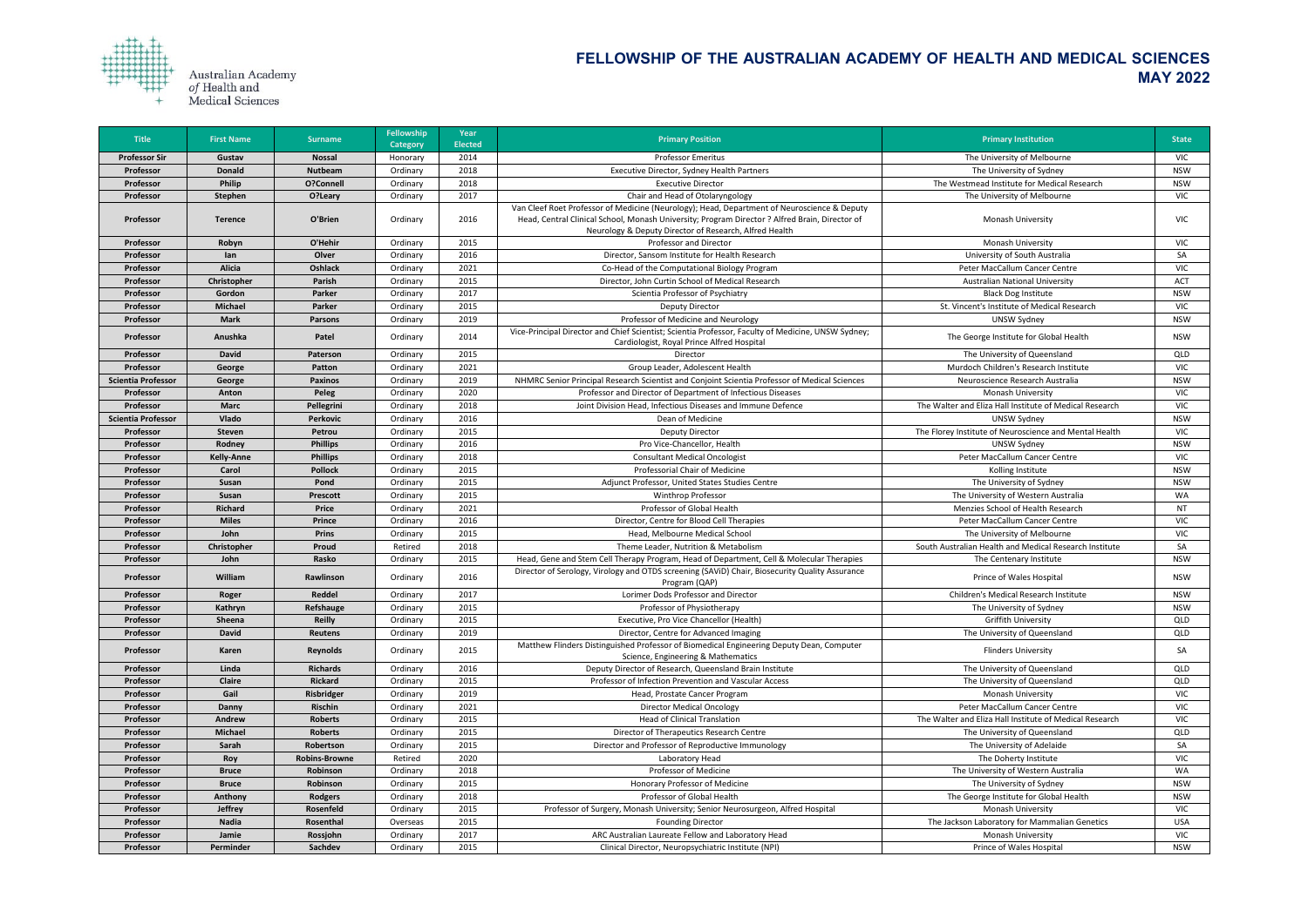

| <b>Title</b>              | <b>First Name</b> | <b>Surname</b>       | <b>Fellowship</b><br><b>Category</b> | Year<br><b>Elected</b> | <b>Primary Position</b>                                                                                                                                                                                                                                 | <b>Primary Institution</b>                              | <b>State</b>             |
|---------------------------|-------------------|----------------------|--------------------------------------|------------------------|---------------------------------------------------------------------------------------------------------------------------------------------------------------------------------------------------------------------------------------------------------|---------------------------------------------------------|--------------------------|
| <b>Professor Sir</b>      | Gustav            | <b>Nossal</b>        | Honorary                             | 2014                   | <b>Professor Emeritus</b>                                                                                                                                                                                                                               | The University of Melbourne                             | <b>VIC</b>               |
| Professor                 | <b>Donald</b>     | <b>Nutbeam</b>       | Ordinary                             | 2018                   | Executive Director, Sydney Health Partners                                                                                                                                                                                                              | The University of Sydney                                | <b>NSW</b>               |
| Professor                 | Philip            | O?Connell            | Ordinary                             | 2018                   | <b>Executive Director</b>                                                                                                                                                                                                                               | The Westmead Institute for Medical Research             | <b>NSW</b>               |
| Professor                 | <b>Stephen</b>    | O?Leary              | Ordinary                             | 2017                   | Chair and Head of Otolaryngology                                                                                                                                                                                                                        | The University of Melbourne                             | <b>VIC</b>               |
| Professor                 | <b>Terence</b>    | O'Brien              | Ordinary                             | 2016                   | Van Cleef Roet Professor of Medicine (Neurology); Head, Department of Neuroscience & Deputy<br>Head, Central Clinical School, Monash University; Program Director ? Alfred Brain, Director of<br>Neurology & Deputy Director of Research, Alfred Health | Monash University                                       | <b>VIC</b>               |
| Professor                 | Robyn             | O'Hehir              | Ordinary                             | 2015                   | Professor and Director                                                                                                                                                                                                                                  | Monash University                                       | <b>VIC</b>               |
| Professor                 | lan               | Olver                | Ordinary                             | 2016                   | Director, Sansom Institute for Health Research                                                                                                                                                                                                          | University of South Australia                           | SA                       |
| Professor                 | <b>Alicia</b>     | Oshlack              | Ordinary                             | 2021                   | Co-Head of the Computational Biology Program                                                                                                                                                                                                            | Peter MacCallum Cancer Centre                           | <b>VIC</b>               |
| Professor                 | Christopher       | Parish               | Ordinary                             | 2015                   | Director, John Curtin School of Medical Research                                                                                                                                                                                                        | <b>Australian National University</b>                   | <b>ACT</b>               |
| Professor                 | Gordon            | Parker               | Ordinary                             | 2017                   | Scientia Professor of Psychiatry                                                                                                                                                                                                                        | <b>Black Dog Institute</b>                              | <b>NSW</b>               |
| Professor                 | <b>Michael</b>    | Parker               | Ordinary                             | 2015                   | <b>Deputy Director</b>                                                                                                                                                                                                                                  | St. Vincent's Institute of Medical Research             | <b>VIC</b>               |
| Professor                 | <b>Mark</b>       | <b>Parsons</b>       | Ordinary                             | 2019                   | Professor of Medicine and Neurology                                                                                                                                                                                                                     | <b>UNSW Sydney</b>                                      | <b>NSW</b>               |
| Professor                 | Anushka           | Patel                | Ordinary                             | 2014                   | Vice-Principal Director and Chief Scientist; Scientia Professor, Faculty of Medicine, UNSW Sydney;<br>Cardiologist, Royal Prince Alfred Hospital                                                                                                        | The George Institute for Global Health                  | <b>NSW</b>               |
| Professor                 | <b>David</b>      | Paterson             | Ordinary                             | 2015                   | Director                                                                                                                                                                                                                                                | The University of Queensland                            | QLD                      |
| Professor                 | George            | Patton               | Ordinary                             | 2021                   | Group Leader, Adolescent Health                                                                                                                                                                                                                         | Murdoch Children's Research Institute                   | <b>VIC</b>               |
| <b>Scientia Professor</b> | George            | <b>Paxinos</b>       | Ordinary                             | 2019                   | NHMRC Senior Principal Research Scientist and Conjoint Scientia Professor of Medical Sciences                                                                                                                                                           | Neuroscience Research Australia                         | <b>NSW</b>               |
| Professor                 | Anton             | Peleg                | Ordinary                             | 2020                   | Professor and Director of Department of Infectious Diseases                                                                                                                                                                                             | <b>Monash University</b>                                | <b>VIC</b>               |
| Professor                 | <b>Marc</b>       | Pellegrini           | Ordinary                             | 2018                   | Joint Division Head, Infectious Diseases and Immune Defence                                                                                                                                                                                             | The Walter and Eliza Hall Institute of Medical Research | <b>VIC</b>               |
| <b>Scientia Professor</b> | <b>Vlado</b>      | Perkovic             | Ordinary                             | 2016                   | Dean of Medicine                                                                                                                                                                                                                                        | <b>UNSW Sydney</b>                                      | <b>NSW</b>               |
| Professor                 | <b>Steven</b>     | Petrou               | Ordinary                             | 2015                   | <b>Deputy Director</b>                                                                                                                                                                                                                                  | The Florey Institute of Neuroscience and Mental Health  | <b>VIC</b>               |
| Professor                 | Rodney            | <b>Phillips</b>      | Ordinary                             | 2016                   | Pro Vice-Chancellor, Health                                                                                                                                                                                                                             | <b>UNSW Sydney</b>                                      | <b>NSW</b>               |
| Professor                 | <b>Kelly-Anne</b> | <b>Phillips</b>      | Ordinary                             | 2018                   | <b>Consultant Medical Oncologist</b>                                                                                                                                                                                                                    | Peter MacCallum Cancer Centre                           | <b>VIC</b>               |
| Professor                 | Carol             | <b>Pollock</b>       | Ordinary                             | 2015                   | Professorial Chair of Medicine                                                                                                                                                                                                                          | Kolling Institute                                       | <b>NSW</b>               |
| Professor                 | Susan             | Pond                 | Ordinary                             | 2015                   | Adjunct Professor, United States Studies Centre                                                                                                                                                                                                         | The University of Sydney                                | <b>NSW</b>               |
| Professor                 | Susan             | <b>Prescott</b>      | Ordinary                             | 2015                   | <b>Winthrop Professor</b>                                                                                                                                                                                                                               | The University of Western Australia                     | WA                       |
| Professor                 | <b>Richard</b>    | <b>Price</b>         | Ordinary                             | 2021                   | Professor of Global Health                                                                                                                                                                                                                              | Menzies School of Health Research                       | <b>NT</b>                |
| Professor                 | <b>Miles</b>      | Prince               | Ordinary                             | 2016                   | Director, Centre for Blood Cell Therapies                                                                                                                                                                                                               | Peter MacCallum Cancer Centre                           | <b>VIC</b>               |
| Professor                 | John              | <b>Prins</b>         | Ordinary                             | 2015                   | Head, Melbourne Medical School                                                                                                                                                                                                                          | The University of Melbourne                             | <b>VIC</b>               |
|                           |                   |                      |                                      |                        |                                                                                                                                                                                                                                                         |                                                         |                          |
| Professor                 | Christopher       | Proud                | Retired                              | 2018                   | Theme Leader, Nutrition & Metabolism                                                                                                                                                                                                                    | South Australian Health and Medical Research Institute  | SA                       |
| Professor<br>Professor    | John<br>William   | Rasko<br>Rawlinson   | Ordinary<br>Ordinary                 | 2015<br>2016           | Head, Gene and Stem Cell Therapy Program, Head of Department, Cell & Molecular Therapies<br>Director of Serology, Virology and OTDS screening (SAViD) Chair, Biosecurity Quality Assurance<br>Program (QAP)                                             | The Centenary Institute<br>Prince of Wales Hospital     | <b>NSW</b><br><b>NSW</b> |
| Professor                 | Roger             | Reddel               | Ordinary                             | 2017                   | Lorimer Dods Professor and Director                                                                                                                                                                                                                     | Children's Medical Research Institute                   | <b>NSW</b>               |
| Professor                 | Kathryn           | Refshauge            | Ordinary                             | 2015                   | Professor of Physiotherapy                                                                                                                                                                                                                              | The University of Sydney                                | <b>NSW</b>               |
| Professor                 | Sheena            | <b>Reilly</b>        | Ordinary                             | 2015                   | Executive, Pro Vice Chancellor (Health)                                                                                                                                                                                                                 | <b>Griffith University</b>                              | QLD                      |
| Professor                 | <b>David</b>      | Reutens              | Ordinary                             | 2019                   | Director, Centre for Advanced Imaging                                                                                                                                                                                                                   | The University of Queensland                            | QLD                      |
| Professor                 | Karen             | <b>Reynolds</b>      | Ordinary                             | 2015                   | Matthew Flinders Distinguished Professor of Biomedical Engineering Deputy Dean, Computer<br>Science, Engineering & Mathematics                                                                                                                          | <b>Flinders University</b>                              | SA                       |
| Professor                 | Linda             | <b>Richards</b>      | Ordinary                             | 2016                   | Deputy Director of Research, Queensland Brain Institute                                                                                                                                                                                                 | The University of Queensland                            | QLD                      |
| Professor                 | <b>Claire</b>     | <b>Rickard</b>       | Ordinary                             | 2015                   | Professor of Infection Prevention and Vascular Access                                                                                                                                                                                                   | The University of Queensland                            | QLD                      |
| Professor                 | Gail              | <b>Risbridger</b>    | Ordinary                             | 2019                   | Head, Prostate Cancer Program                                                                                                                                                                                                                           | Monash University                                       | <b>VIC</b>               |
| Professor                 | Danny             | <b>Rischin</b>       | Ordinary                             | 2021                   | <b>Director Medical Oncology</b>                                                                                                                                                                                                                        | Peter MacCallum Cancer Centre                           | <b>VIC</b>               |
| Professor                 | <b>Andrew</b>     | Roberts              | Ordinary                             | 2015                   | <b>Head of Clinical Translation</b>                                                                                                                                                                                                                     | The Walter and Eliza Hall Institute of Medical Research | <b>VIC</b>               |
| Professor                 | <b>Michael</b>    | <b>Roberts</b>       | Ordinary                             | 2015                   | Director of Therapeutics Research Centre                                                                                                                                                                                                                | The University of Queensland                            | QLD                      |
| Professor                 | Sarah             | Robertson            | Ordinary                             | 2015                   | Director and Professor of Reproductive Immunology                                                                                                                                                                                                       | The University of Adelaide                              | SA                       |
| Professor                 | Roy               | <b>Robins-Browne</b> | Retired                              | 2020                   | Laboratory Head                                                                                                                                                                                                                                         | The Doherty Institute                                   | <b>VIC</b>               |
| Professor                 | <b>Bruce</b>      | Robinson             | Ordinary                             | 2018                   | Professor of Medicine                                                                                                                                                                                                                                   | The University of Western Australia                     | WA                       |
| Professor                 | <b>Bruce</b>      | Robinson             | Ordinary                             | 2015                   | Honorary Professor of Medicine                                                                                                                                                                                                                          | The University of Sydney                                | <b>NSW</b>               |
| Professor                 | <b>Anthony</b>    | <b>Rodgers</b>       | Ordinary                             | 2018                   | Professor of Global Health                                                                                                                                                                                                                              | The George Institute for Global Health                  | <b>NSW</b>               |
| Professor                 | <b>Jeffrey</b>    | Rosenfeld            | Ordinary                             | 2015                   | Professor of Surgery, Monash University; Senior Neurosurgeon, Alfred Hospital                                                                                                                                                                           | <b>Monash University</b>                                | <b>VIC</b>               |
| Professor                 | <b>Nadia</b>      | Rosenthal            | Overseas                             | 2015                   | <b>Founding Director</b>                                                                                                                                                                                                                                | The Jackson Laboratory for Mammalian Genetics           | <b>USA</b>               |
| Professor                 | Jamie             | Rossjohn             | Ordinary                             | 2017                   | ARC Australian Laureate Fellow and Laboratory Head                                                                                                                                                                                                      | <b>Monash University</b>                                | <b>VIC</b>               |
| Professor                 | Perminder         | Sachdev              | Ordinary                             | 2015                   | Clinical Director, Neuropsychiatric Institute (NPI)                                                                                                                                                                                                     | Prince of Wales Hospital                                | <b>NSW</b>               |
|                           |                   |                      |                                      |                        |                                                                                                                                                                                                                                                         |                                                         |                          |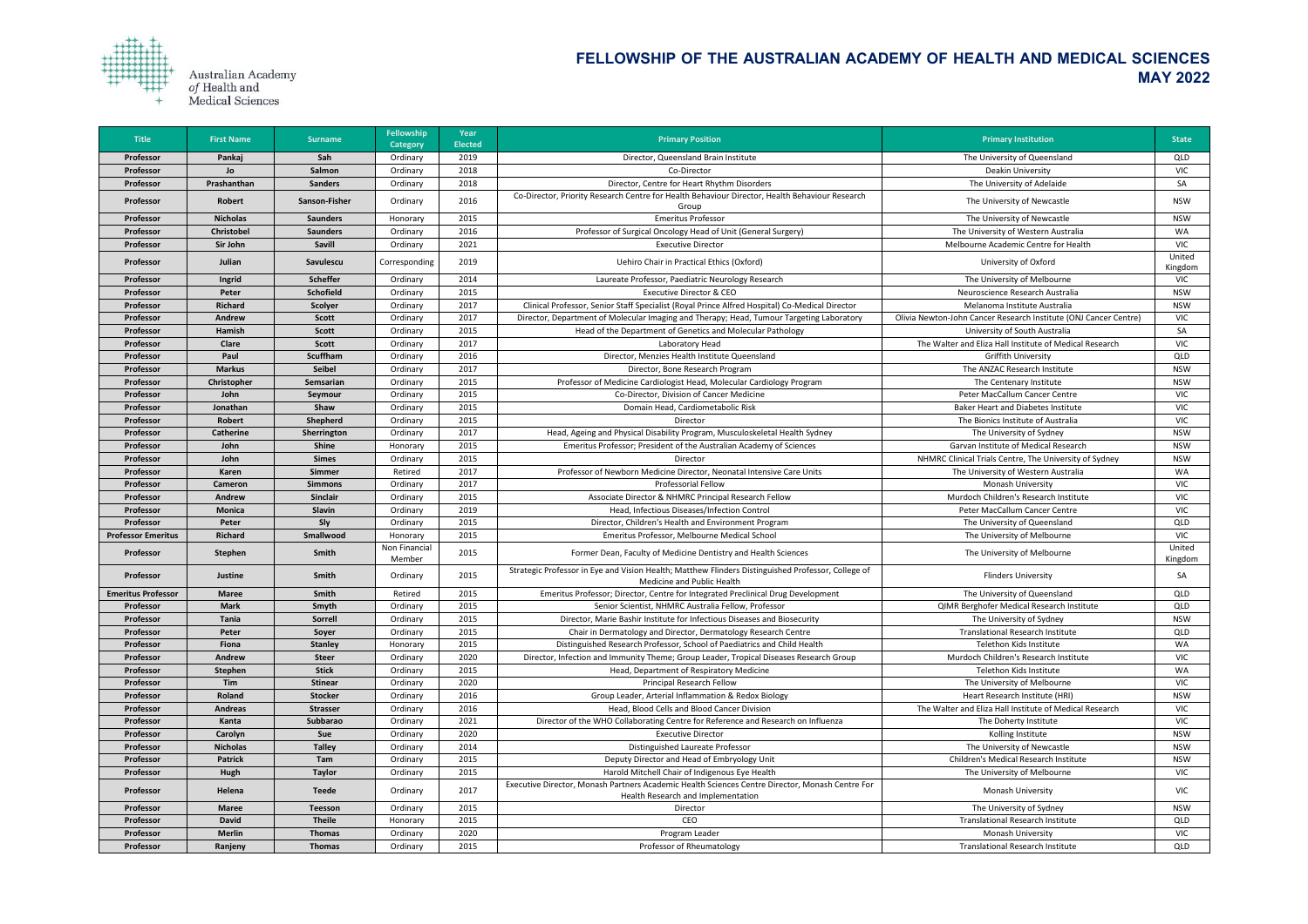

| <b>Title</b>              | <b>First Name</b> | <b>Surname</b>       | <b>Fellowship</b><br><b>Category</b> | <b>Year</b><br><b>Elected</b> | <b>Primary Position</b>                                                                                                               | <b>Primary Institution</b>                                       | <b>State</b>      |
|---------------------------|-------------------|----------------------|--------------------------------------|-------------------------------|---------------------------------------------------------------------------------------------------------------------------------------|------------------------------------------------------------------|-------------------|
| Professor                 | Pankaj            | Sah                  | Ordinary                             | 2019                          | Director, Queensland Brain Institute                                                                                                  | The University of Queensland                                     | QLD               |
| Professor                 | Jo                | Salmon               | Ordinary                             | 2018                          | Co-Director                                                                                                                           | <b>Deakin University</b>                                         | <b>VIC</b>        |
| Professor                 | Prashanthan       | <b>Sanders</b>       | Ordinary                             | 2018                          | Director, Centre for Heart Rhythm Disorders                                                                                           | The University of Adelaide                                       | SA                |
| Professor                 | Robert            | <b>Sanson-Fisher</b> | Ordinary                             | 2016                          | Co-Director, Priority Research Centre for Health Behaviour Director, Health Behaviour Research<br>Group                               | The University of Newcastle                                      | <b>NSW</b>        |
| Professor                 | <b>Nicholas</b>   | <b>Saunders</b>      | Honorary                             | 2015                          | <b>Emeritus Professor</b>                                                                                                             | The University of Newcastle                                      | <b>NSW</b>        |
| Professor                 | <b>Christobel</b> | <b>Saunders</b>      | Ordinary                             | 2016                          | Professor of Surgical Oncology Head of Unit (General Surgery)                                                                         | The University of Western Australia                              | WA                |
| Professor                 | Sir John          | <b>Savill</b>        | Ordinary                             | 2021                          | <b>Executive Director</b>                                                                                                             | Melbourne Academic Centre for Health                             | <b>VIC</b>        |
| Professor                 | Julian            | Savulescu            | Corresponding                        | 2019                          | Uehiro Chair in Practical Ethics (Oxford)                                                                                             | University of Oxford                                             | United<br>Kingdom |
| Professor                 | Ingrid            | <b>Scheffer</b>      | Ordinary                             | 2014                          | Laureate Professor, Paediatric Neurology Research                                                                                     | The University of Melbourne                                      | <b>VIC</b>        |
| Professor                 | Peter             | <b>Schofield</b>     | Ordinary                             | 2015                          | <b>Executive Director &amp; CEO</b>                                                                                                   | Neuroscience Research Australia                                  | <b>NSW</b>        |
| Professor                 | <b>Richard</b>    | <b>Scolyer</b>       | Ordinary                             | 2017                          | Clinical Professor, Senior Staff Specialist (Royal Prince Alfred Hospital) Co-Medical Director                                        | Melanoma Institute Australia                                     | <b>NSW</b>        |
| Professor                 | Andrew            | <b>Scott</b>         | Ordinary                             | 2017                          | Director, Department of Molecular Imaging and Therapy; Head, Tumour Targeting Laboratory                                              | Olivia Newton-John Cancer Research Institute (ONJ Cancer Centre) | <b>VIC</b>        |
| Professor                 | Hamish            | <b>Scott</b>         | Ordinary                             | 2015                          | Head of the Department of Genetics and Molecular Pathology                                                                            | University of South Australia                                    | SA                |
| Professor                 | <b>Clare</b>      | <b>Scott</b>         | Ordinary                             | 2017                          | Laboratory Head                                                                                                                       | The Walter and Eliza Hall Institute of Medical Research          | <b>VIC</b>        |
| Professor                 | Paul              | <b>Scuffham</b>      | Ordinary                             | 2016                          | Director, Menzies Health Institute Queensland                                                                                         | <b>Griffith University</b>                                       | QLD               |
| Professor                 | <b>Markus</b>     | <b>Seibel</b>        | Ordinary                             | 2017                          | Director, Bone Research Program                                                                                                       | The ANZAC Research Institute                                     | <b>NSW</b>        |
| Professor                 | Christopher       | Semsarian            | Ordinary                             | 2015                          | Professor of Medicine Cardiologist Head, Molecular Cardiology Program                                                                 | The Centenary Institute                                          | <b>NSW</b>        |
| Professor                 | John              | Seymour              | Ordinary                             | 2015                          | Co-Director, Division of Cancer Medicine                                                                                              | Peter MacCallum Cancer Centre                                    | <b>VIC</b>        |
| Professor                 | Jonathan          | Shaw                 | Ordinary                             | 2015                          | Domain Head, Cardiometabolic Risk                                                                                                     | <b>Baker Heart and Diabetes Institute</b>                        | <b>VIC</b>        |
| Professor                 | Robert            | Shepherd             | Ordinary                             | 2015                          | Director                                                                                                                              | The Bionics Institute of Australia                               | <b>VIC</b>        |
| Professor                 | <b>Catherine</b>  | Sherrington          | Ordinary                             | 2017                          | Head, Ageing and Physical Disability Program, Musculoskeletal Health Sydney                                                           | The University of Sydney                                         | <b>NSW</b>        |
| Professor                 | John              | <b>Shine</b>         | Honorary                             | 2015                          | Emeritus Professor; President of the Australian Academy of Sciences                                                                   | Garvan Institute of Medical Research                             | <b>NSW</b>        |
| Professor                 | John              | <b>Simes</b>         | Ordinary                             | 2015                          | Director                                                                                                                              | NHMRC Clinical Trials Centre, The University of Sydney           | <b>NSW</b>        |
| Professor                 | <b>Karen</b>      | Simmer               | Retired                              | 2017                          | Professor of Newborn Medicine Director, Neonatal Intensive Care Units                                                                 | The University of Western Australia                              | WA                |
| Professor                 | Cameron           | <b>Simmons</b>       | Ordinary                             | 2017                          | <b>Professorial Fellow</b>                                                                                                            | <b>Monash University</b>                                         | <b>VIC</b>        |
| Professor                 | Andrew            | <b>Sinclair</b>      | Ordinary                             | 2015                          | Associate Director & NHMRC Principal Research Fellow                                                                                  | Murdoch Children's Research Institute                            | <b>VIC</b>        |
| Professor                 | <b>Monica</b>     | Slavin               | Ordinary                             | 2019                          | Head, Infectious Diseases/Infection Control                                                                                           | Peter MacCallum Cancer Centre                                    | <b>VIC</b>        |
| Professor                 | Peter             | Sly                  | Ordinary                             | 2015                          | Director, Children's Health and Environment Program                                                                                   | The University of Queensland                                     | QLD               |
| <b>Professor Emeritus</b> | <b>Richard</b>    | Smallwood            | Honorary                             | 2015                          | Emeritus Professor, Melbourne Medical School                                                                                          | The University of Melbourne                                      | <b>VIC</b>        |
| Professor                 | <b>Stephen</b>    | Smith                | Non Financial<br>Member              | 2015                          | Former Dean, Faculty of Medicine Dentistry and Health Sciences                                                                        | The University of Melbourne                                      | United<br>Kingdom |
| Professor                 | <b>Justine</b>    | Smith                | Ordinary                             | 2015                          | Strategic Professor in Eye and Vision Health; Matthew Flinders Distinguished Professor, College of<br>Medicine and Public Health      | <b>Flinders University</b>                                       | SA                |
| <b>Emeritus Professor</b> | <b>Maree</b>      | Smith                | Retired                              | 2015                          | Emeritus Professor; Director, Centre for Integrated Preclinical Drug Development                                                      | The University of Queensland                                     | QLD               |
| Professor                 | <b>Mark</b>       | Smyth                | Ordinary                             | 2015                          | Senior Scientist, NHMRC Australia Fellow, Professor                                                                                   | QIMR Berghofer Medical Research Institute                        | QLD               |
| Professor                 | Tania             | Sorrell              | Ordinary                             | 2015                          | Director, Marie Bashir Institute for Infectious Diseases and Biosecurity                                                              | The University of Sydney                                         | <b>NSW</b>        |
| Professor                 | Peter             | Soyer                | Ordinary                             | 2015                          | Chair in Dermatology and Director, Dermatology Research Centre                                                                        | <b>Translational Research Institute</b>                          | QLD               |
| Professor                 | Fiona             | <b>Stanley</b>       | Honorary                             | 2015                          | Distinguished Research Professor, School of Paediatrics and Child Health                                                              | Telethon Kids Institute                                          | WA                |
| Professor                 | Andrew            | <b>Steer</b>         | Ordinary                             | 2020                          | Director, Infection and Immunity Theme; Group Leader, Tropical Diseases Research Group                                                | Murdoch Children's Research Institute                            | <b>VIC</b>        |
| Professor                 | Stephen           | <b>Stick</b>         | Ordinary                             | 2015                          | Head, Department of Respiratory Medicine                                                                                              | Telethon Kids Institute                                          | WA                |
| Professor                 | Tim               | <b>Stinear</b>       | Ordinary                             | 2020                          | <b>Principal Research Fellow</b>                                                                                                      | The University of Melbourne                                      | <b>VIC</b>        |
| Professor                 | Roland            | <b>Stocker</b>       | Ordinary                             | 2016                          | Group Leader, Arterial Inflammation & Redox Biology                                                                                   | Heart Research Institute (HRI)                                   | <b>NSW</b>        |
| Professor                 | <b>Andreas</b>    | <b>Strasser</b>      | Ordinary                             | 2016                          | Head, Blood Cells and Blood Cancer Division                                                                                           | The Walter and Eliza Hall Institute of Medical Research          | <b>VIC</b>        |
| Professor                 | Kanta             | Subbarao             | Ordinary                             | 2021                          | Director of the WHO Collaborating Centre for Reference and Research on Influenza                                                      | The Doherty Institute                                            | <b>VIC</b>        |
| Professor                 | Carolyn           | Sue                  | Ordinary                             | 2020                          | <b>Executive Director</b>                                                                                                             | Kolling Institute                                                | <b>NSW</b>        |
| Professor                 | <b>Nicholas</b>   | <b>Talley</b>        | Ordinary                             | 2014                          | Distinguished Laureate Professor                                                                                                      | The University of Newcastle                                      | <b>NSW</b>        |
| Professor                 | <b>Patrick</b>    | Tam                  | Ordinary                             | 2015                          | Deputy Director and Head of Embryology Unit                                                                                           | Children's Medical Research Institute                            | <b>NSW</b>        |
| Professor                 | Hugh              | <b>Taylor</b>        | Ordinary                             | 2015                          | Harold Mitchell Chair of Indigenous Eye Health                                                                                        | The University of Melbourne                                      | VIC               |
| Professor                 | Helena            | <b>Teede</b>         | Ordinary                             | 2017                          | Executive Director, Monash Partners Academic Health Sciences Centre Director, Monash Centre For<br>Health Research and Implementation | Monash University                                                | <b>VIC</b>        |
| Professor                 | <b>Maree</b>      | <b>Teesson</b>       | Ordinary                             | 2015                          | Director                                                                                                                              | The University of Sydney                                         | <b>NSW</b>        |
| Professor                 | <b>David</b>      | <b>Theile</b>        | Honorary                             | 2015                          | CEO                                                                                                                                   | <b>Translational Research Institute</b>                          | QLD               |
| Professor                 | <b>Merlin</b>     | <b>Thomas</b>        | Ordinary                             | 2020                          | Program Leader                                                                                                                        | Monash University                                                | <b>VIC</b>        |
| Professor                 | Ranjeny           | <b>Thomas</b>        | Ordinary                             | 2015                          | Professor of Rheumatology                                                                                                             | <b>Translational Research Institute</b>                          | QLD               |